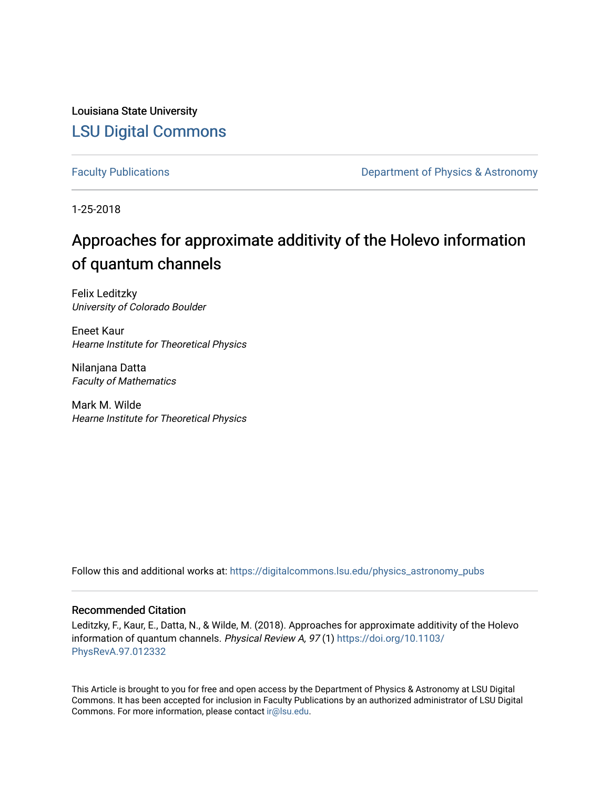Louisiana State University [LSU Digital Commons](https://digitalcommons.lsu.edu/)

[Faculty Publications](https://digitalcommons.lsu.edu/physics_astronomy_pubs) **Exercise 2 and Table 2 and Table 2 and Table 2 and Table 2 and Table 2 and Table 2 and Table 2 and Table 2 and Table 2 and Table 2 and Table 2 and Table 2 and Table 2 and Table 2 and Table 2 and Table** 

1-25-2018

# Approaches for approximate additivity of the Holevo information of quantum channels

Felix Leditzky University of Colorado Boulder

Eneet Kaur Hearne Institute for Theoretical Physics

Nilanjana Datta Faculty of Mathematics

Mark M. Wilde Hearne Institute for Theoretical Physics

Follow this and additional works at: [https://digitalcommons.lsu.edu/physics\\_astronomy\\_pubs](https://digitalcommons.lsu.edu/physics_astronomy_pubs?utm_source=digitalcommons.lsu.edu%2Fphysics_astronomy_pubs%2F5645&utm_medium=PDF&utm_campaign=PDFCoverPages) 

## Recommended Citation

Leditzky, F., Kaur, E., Datta, N., & Wilde, M. (2018). Approaches for approximate additivity of the Holevo information of quantum channels. Physical Review A, 97 (1) [https://doi.org/10.1103/](https://doi.org/10.1103/PhysRevA.97.012332) [PhysRevA.97.012332](https://doi.org/10.1103/PhysRevA.97.012332) 

This Article is brought to you for free and open access by the Department of Physics & Astronomy at LSU Digital Commons. It has been accepted for inclusion in Faculty Publications by an authorized administrator of LSU Digital Commons. For more information, please contact [ir@lsu.edu](mailto:ir@lsu.edu).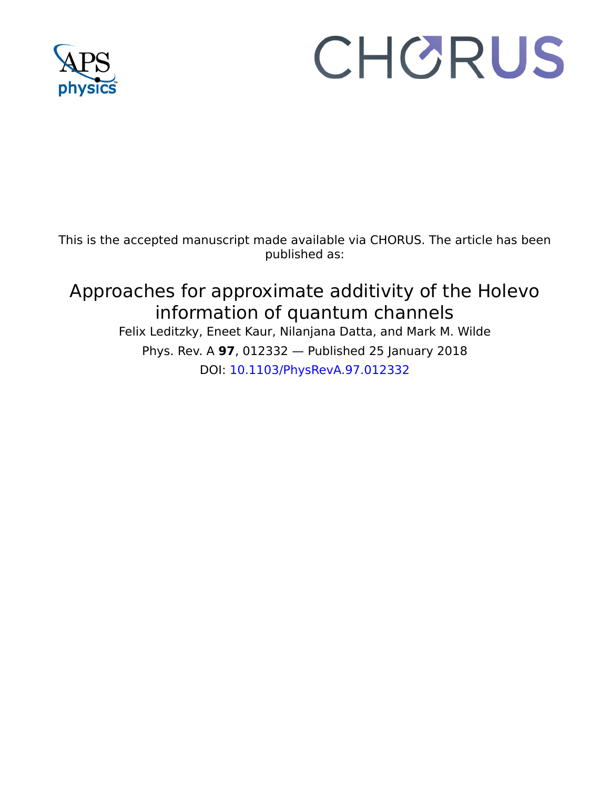

# CHORUS

This is the accepted manuscript made available via CHORUS. The article has been published as:

# Approaches for approximate additivity of the Holevo information of quantum channels Felix Leditzky, Eneet Kaur, Nilanjana Datta, and Mark M. Wilde Phys. Rev. A **97**, 012332 — Published 25 January 2018 DOI: [10.1103/PhysRevA.97.012332](http://dx.doi.org/10.1103/PhysRevA.97.012332)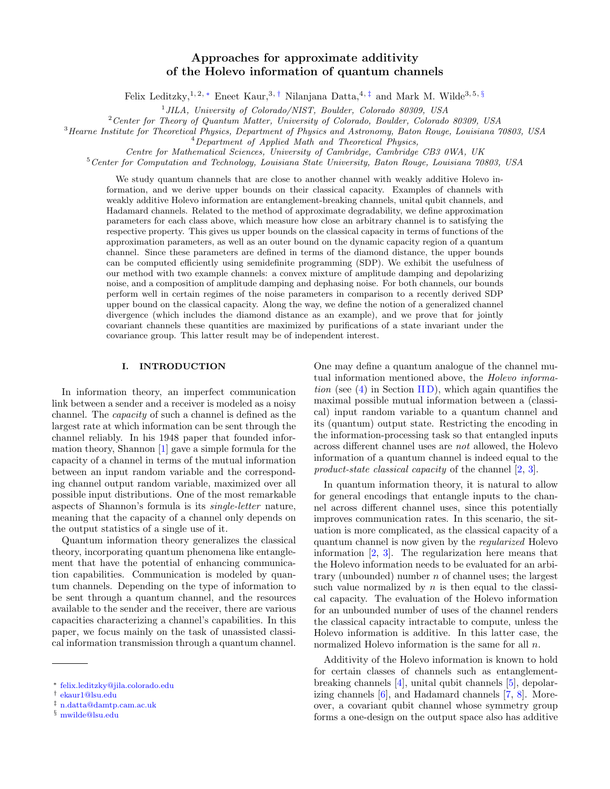## Approaches for approximate additivity of the Holevo information of quantum channels

Felix Leditzky,<sup>1, 2, \*</sup> Eneet Kaur,<sup>3,[†](#page-2-1)</sup> Nilanjana Datta,<sup>4,[‡](#page-2-2)</sup> and Mark M. Wilde<sup>3, 5, [§](#page-2-3)</sup>

<sup>1</sup> JILA, University of Colorado/NIST, Boulder, Colorado 80309, USA

<sup>2</sup>Center for Theory of Quantum Matter, University of Colorado, Boulder, Colorado 80309, USA

<sup>3</sup>Hearne Institute for Theoretical Physics, Department of Physics and Astronomy, Baton Rouge, Louisiana 70803, USA

<sup>4</sup>Department of Applied Math and Theoretical Physics,

Centre for Mathematical Sciences, University of Cambridge, Cambridge CB3 0WA, UK

<sup>5</sup>Center for Computation and Technology, Louisiana State University, Baton Rouge, Louisiana 70803, USA

We study quantum channels that are close to another channel with weakly additive Holevo information, and we derive upper bounds on their classical capacity. Examples of channels with weakly additive Holevo information are entanglement-breaking channels, unital qubit channels, and Hadamard channels. Related to the method of approximate degradability, we define approximation parameters for each class above, which measure how close an arbitrary channel is to satisfying the respective property. This gives us upper bounds on the classical capacity in terms of functions of the approximation parameters, as well as an outer bound on the dynamic capacity region of a quantum channel. Since these parameters are defined in terms of the diamond distance, the upper bounds can be computed efficiently using semidefinite programming (SDP). We exhibit the usefulness of our method with two example channels: a convex mixture of amplitude damping and depolarizing noise, and a composition of amplitude damping and dephasing noise. For both channels, our bounds perform well in certain regimes of the noise parameters in comparison to a recently derived SDP upper bound on the classical capacity. Along the way, we define the notion of a generalized channel divergence (which includes the diamond distance as an example), and we prove that for jointly covariant channels these quantities are maximized by purifications of a state invariant under the covariance group. This latter result may be of independent interest.

### <span id="page-2-4"></span>I. INTRODUCTION

In information theory, an imperfect communication link between a sender and a receiver is modeled as a noisy channel. The capacity of such a channel is defined as the largest rate at which information can be sent through the channel reliably. In his 1948 paper that founded information theory, Shannon [\[1\]](#page-23-0) gave a simple formula for the capacity of a channel in terms of the mutual information between an input random variable and the corresponding channel output random variable, maximized over all possible input distributions. One of the most remarkable aspects of Shannon's formula is its single-letter nature, meaning that the capacity of a channel only depends on the output statistics of a single use of it.

Quantum information theory generalizes the classical theory, incorporating quantum phenomena like entanglement that have the potential of enhancing communication capabilities. Communication is modeled by quantum channels. Depending on the type of information to be sent through a quantum channel, and the resources available to the sender and the receiver, there are various capacities characterizing a channel's capabilities. In this paper, we focus mainly on the task of unassisted classical information transmission through a quantum channel. One may define a quantum analogue of the channel mutual information mentioned above, the Holevo information (see  $(4)$  in Section [II D\)](#page-6-1), which again quantifies the maximal possible mutual information between a (classical) input random variable to a quantum channel and its (quantum) output state. Restricting the encoding in the information-processing task so that entangled inputs across different channel uses are not allowed, the Holevo information of a quantum channel is indeed equal to the product-state classical capacity of the channel [\[2,](#page-23-1) [3\]](#page-23-2).

In quantum information theory, it is natural to allow for general encodings that entangle inputs to the channel across different channel uses, since this potentially improves communication rates. In this scenario, the situation is more complicated, as the classical capacity of a quantum channel is now given by the regularized Holevo information [\[2,](#page-23-1) [3\]](#page-23-2). The regularization here means that the Holevo information needs to be evaluated for an arbitrary (unbounded) number  $n$  of channel uses; the largest such value normalized by  $n$  is then equal to the classical capacity. The evaluation of the Holevo information for an unbounded number of uses of the channel renders the classical capacity intractable to compute, unless the Holevo information is additive. In this latter case, the normalized Holevo information is the same for all n.

Additivity of the Holevo information is known to hold for certain classes of channels such as entanglementbreaking channels [\[4\]](#page-23-3), unital qubit channels [\[5\]](#page-23-4), depolarizing channels [\[6\]](#page-23-5), and Hadamard channels [\[7,](#page-23-6) [8\]](#page-23-7). Moreover, a covariant qubit channel whose symmetry group forms a one-design on the output space also has additive

<span id="page-2-0"></span><sup>∗</sup> [felix.leditzky@jila.colorado.edu](mailto:felix.leditzky@jila.colorado.edu)

<span id="page-2-1"></span><sup>†</sup> [ekaur1@lsu.edu](mailto:ekaur1@lsu.edu)

<span id="page-2-2"></span><sup>‡</sup> [n.datta@damtp.cam.ac.uk](mailto:n.datta@damtp.cam.ac.uk)

<span id="page-2-3"></span><sup>§</sup> [mwilde@lsu.edu](mailto:mwilde@lsu.edu)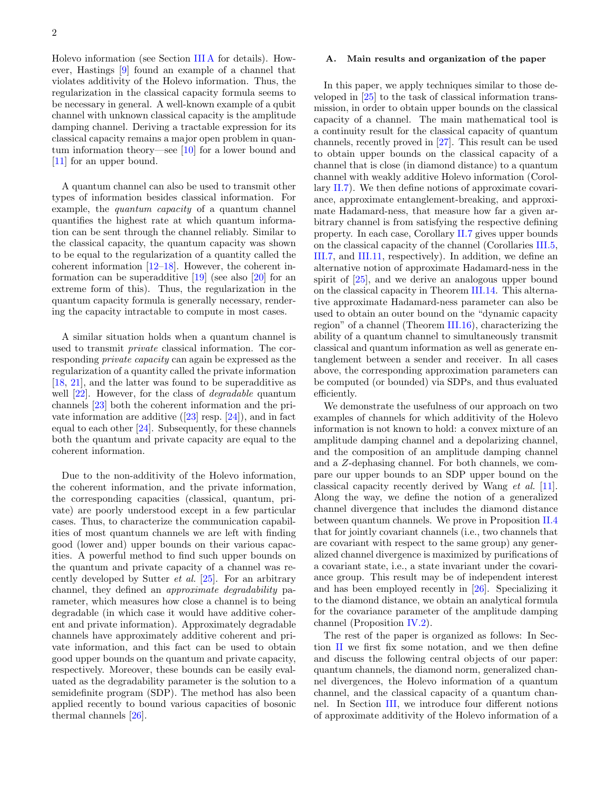Holevo information (see Section [III A](#page-7-0) for details). However, Hastings [\[9\]](#page-23-8) found an example of a channel that violates additivity of the Holevo information. Thus, the regularization in the classical capacity formula seems to be necessary in general. A well-known example of a qubit channel with unknown classical capacity is the amplitude damping channel. Deriving a tractable expression for its classical capacity remains a major open problem in quantum information theory—see [\[10\]](#page-23-9) for a lower bound and [\[11\]](#page-23-10) for an upper bound.

A quantum channel can also be used to transmit other types of information besides classical information. For example, the *quantum capacity* of a quantum channel quantifies the highest rate at which quantum information can be sent through the channel reliably. Similar to the classical capacity, the quantum capacity was shown to be equal to the regularization of a quantity called the coherent information [\[12](#page-23-11)[–18\]](#page-23-12). However, the coherent information can be superadditive [\[19\]](#page-23-13) (see also [\[20\]](#page-23-14) for an extreme form of this). Thus, the regularization in the quantum capacity formula is generally necessary, rendering the capacity intractable to compute in most cases.

A similar situation holds when a quantum channel is used to transmit private classical information. The corresponding private capacity can again be expressed as the regularization of a quantity called the private information [\[18,](#page-23-12) [21\]](#page-23-15), and the latter was found to be superadditive as well  $[22]$ . However, for the class of *degradable* quantum channels [\[23\]](#page-23-17) both the coherent information and the privateinformation are additive  $([23]$  $([23]$  resp.  $[24]$ ), and in fact equal to each other [\[24\]](#page-23-18). Subsequently, for these channels both the quantum and private capacity are equal to the coherent information.

Due to the non-additivity of the Holevo information, the coherent information, and the private information, the corresponding capacities (classical, quantum, private) are poorly understood except in a few particular cases. Thus, to characterize the communication capabilities of most quantum channels we are left with finding good (lower and) upper bounds on their various capacities. A powerful method to find such upper bounds on the quantum and private capacity of a channel was recently developed by Sutter *et al.* [\[25\]](#page-23-19). For an arbitrary channel, they defined an approximate degradability parameter, which measures how close a channel is to being degradable (in which case it would have additive coherent and private information). Approximately degradable channels have approximately additive coherent and private information, and this fact can be used to obtain good upper bounds on the quantum and private capacity, respectively. Moreover, these bounds can be easily evaluated as the degradability parameter is the solution to a semidefinite program (SDP). The method has also been applied recently to bound various capacities of bosonic thermal channels [\[26\]](#page-23-20).

#### A. Main results and organization of the paper

In this paper, we apply techniques similar to those developed in [\[25\]](#page-23-19) to the task of classical information transmission, in order to obtain upper bounds on the classical capacity of a channel. The main mathematical tool is a continuity result for the classical capacity of quantum channels, recently proved in [\[27\]](#page-24-0). This result can be used to obtain upper bounds on the classical capacity of a channel that is close (in diamond distance) to a quantum channel with weakly additive Holevo information (Corollary  $II.7$ ). We then define notions of approximate covariance, approximate entanglement-breaking, and approximate Hadamard-ness, that measure how far a given arbitrary channel is from satisfying the respective defining property. In each case, Corollary [II.7](#page-7-1) gives upper bounds on the classical capacity of the channel (Corollaries [III.5,](#page-9-0) [III.7,](#page-9-1) and [III.11,](#page-10-0) respectively). In addition, we define an alternative notion of approximate Hadamard-ness in the spirit of [\[25\]](#page-23-19), and we derive an analogous upper bound on the classical capacity in Theorem [III.14.](#page-11-0) This alternative approximate Hadamard-ness parameter can also be used to obtain an outer bound on the "dynamic capacity region" of a channel (Theorem [III.16\)](#page-12-0), characterizing the ability of a quantum channel to simultaneously transmit classical and quantum information as well as generate entanglement between a sender and receiver. In all cases above, the corresponding approximation parameters can be computed (or bounded) via SDPs, and thus evaluated efficiently.

We demonstrate the usefulness of our approach on two examples of channels for which additivity of the Holevo information is not known to hold: a convex mixture of an amplitude damping channel and a depolarizing channel, and the composition of an amplitude damping channel and a Z-dephasing channel. For both channels, we compare our upper bounds to an SDP upper bound on the classical capacity recently derived by Wang et al. [\[11\]](#page-23-10). Along the way, we define the notion of a generalized channel divergence that includes the diamond distance between quantum channels. We prove in Proposition [II.4](#page-6-2) that for jointly covariant channels (i.e., two channels that are covariant with respect to the same group) any generalized channel divergence is maximized by purifications of a covariant state, i.e., a state invariant under the covariance group. This result may be of independent interest and has been employed recently in [\[26\]](#page-23-20). Specializing it to the diamond distance, we obtain an analytical formula for the covariance parameter of the amplitude damping channel (Proposition [IV.2\)](#page-14-0).

The rest of the paper is organized as follows: In Section [II](#page-4-0) we first fix some notation, and we then define and discuss the following central objects of our paper: quantum channels, the diamond norm, generalized channel divergences, the Holevo information of a quantum channel, and the classical capacity of a quantum channel. In Section [III,](#page-7-2) we introduce four different notions of approximate additivity of the Holevo information of a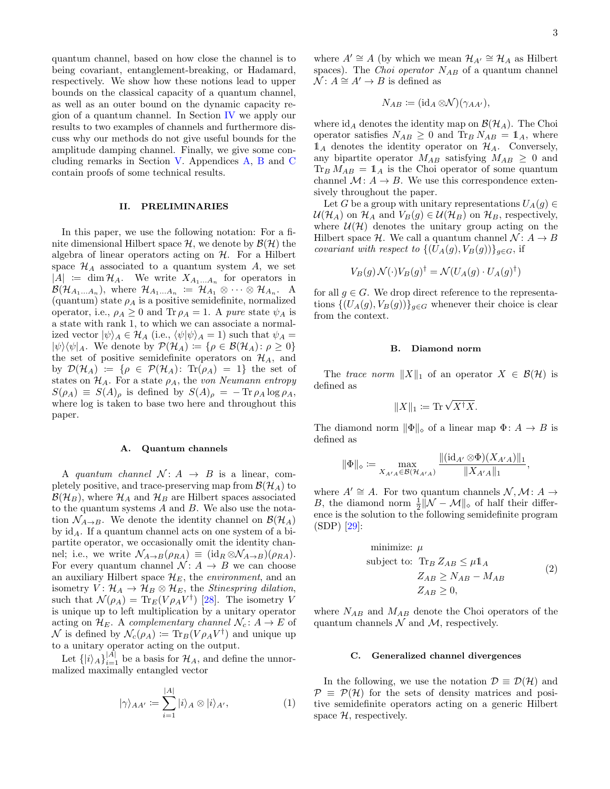quantum channel, based on how close the channel is to being covariant, entanglement-breaking, or Hadamard, respectively. We show how these notions lead to upper bounds on the classical capacity of a quantum channel, as well as an outer bound on the dynamic capacity region of a quantum channel. In Section [IV](#page-14-1) we apply our results to two examples of channels and furthermore discuss why our methods do not give useful bounds for the amplitude damping channel. Finally, we give some concluding remarks in Section [V.](#page-16-0) Appendices [A,](#page-18-0) [B](#page-19-0) and [C](#page-20-0) contain proofs of some technical results.

#### <span id="page-4-0"></span>II. PRELIMINARIES

In this paper, we use the following notation: For a finite dimensional Hilbert space  $\mathcal{H}$ , we denote by  $\mathcal{B}(\mathcal{H})$  the algebra of linear operators acting on  $H$ . For a Hilbert space  $\mathcal{H}_A$  associated to a quantum system A, we set  $|A| := \dim \mathcal{H}_A$ . We write  $X_{A_1...A_n}$  for operators in  $\mathcal{B}(\mathcal{H}_{A_1...A_n}),$  where  $\mathcal{H}_{A_1...A_n} := \mathcal{H}_{A_1} \otimes \cdots \otimes \mathcal{H}_{A_n}.$  A (quantum) state  $\rho_A$  is a positive semidefinite, normalized operator, i.e.,  $\rho_A \geq 0$  and Tr  $\rho_A = 1$ . A pure state  $\psi_A$  is a state with rank 1, to which we can associate a normalized vector  $|\psi\rangle_A \in \mathcal{H}_A$  (i.e.,  $\langle \psi | \psi \rangle_A = 1$ ) such that  $\psi_A =$  $|\psi\rangle\langle\psi|_A$ . We denote by  $\mathcal{P}(\mathcal{H}_A) \coloneqq {\rho \in \mathcal{B}(\mathcal{H}_A) : \rho \geq 0}$ the set of positive semidefinite operators on  $\mathcal{H}_A$ , and by  $\mathcal{D}(\mathcal{H}_A) := \{ \rho \in \mathcal{P}(\mathcal{H}_A): \text{Tr}(\rho_A) = 1 \}$  the set of states on  $\mathcal{H}_A$ . For a state  $\rho_A$ , the von Neumann entropy  $S(\rho_A) \equiv S(A)_{\rho}$  is defined by  $S(A)_{\rho} = -\text{Tr} \rho_A \log \rho_A$ , where log is taken to base two here and throughout this paper.

#### A. Quantum channels

A quantum channel  $\mathcal{N}: A \rightarrow B$  is a linear, completely positive, and trace-preserving map from  $\mathcal{B}(\mathcal{H}_A)$  to  $\mathcal{B}(\mathcal{H}_B)$ , where  $\mathcal{H}_A$  and  $\mathcal{H}_B$  are Hilbert spaces associated to the quantum systems  $A$  and  $B$ . We also use the notation  $\mathcal{N}_{A\rightarrow B}$ . We denote the identity channel on  $\mathcal{B}(\mathcal{H}_A)$ by  $id_A$ . If a quantum channel acts on one system of a bipartite operator, we occasionally omit the identity channel; i.e., we write  $\mathcal{N}_{A\rightarrow B}(\rho_{RA}) \equiv (\mathrm{id}_R \otimes \mathcal{N}_{A\rightarrow B})(\rho_{RA}).$ For every quantum channel  $\mathcal{N} : A \rightarrow B$  we can choose an auxiliary Hilbert space  $\mathcal{H}_E$ , the *environment*, and an isometry  $V: \mathcal{H}_A \to \mathcal{H}_B \otimes \mathcal{H}_E$ , the *Stinespring dilation*, such that  $\mathcal{N}(\rho_A) = \text{Tr}_E(V\rho_A V^{\dagger})$  [\[28\]](#page-24-1). The isometry V is unique up to left multiplication by a unitary operator acting on  $\mathcal{H}_E$ . A complementary channel  $\mathcal{N}_c: A \to E$  of  $\mathcal N$  is defined by  $\mathcal N_c(\rho_A) \coloneqq \text{Tr}_B(V\rho_A V^\dagger)$  and unique up to a unitary operator acting on the output.

Let  $\{|i\rangle_A\}_{i=1}^{|A|}$  be a basis for  $\mathcal{H}_A$ , and define the unnormalized maximally entangled vector

$$
|\gamma\rangle_{AA'} := \sum_{i=1}^{|A|} |i\rangle_A \otimes |i\rangle_{A'}, \tag{1}
$$

where  $A' \cong A$  (by which we mean  $\mathcal{H}_{A'} \cong \mathcal{H}_A$  as Hilbert spaces). The *Choi operator*  $N_{AB}$  of a quantum channel  $\mathcal{N}: A \cong A' \rightarrow B$  is defined as

$$
N_{AB} \coloneqq (\mathrm{id}_A \otimes \mathcal{N})(\gamma_{AA'}),
$$

where  $\mathrm{id}_A$  denotes the identity map on  $\mathcal{B}(\mathcal{H}_A)$ . The Choi operator satisfies  $N_{AB} \geq 0$  and  $\text{Tr}_B N_{AB} = \mathbb{1}_A$ , where  $\mathbb{1}_A$  denotes the identity operator on  $\mathcal{H}_A$ . Conversely, any bipartite operator  $M_{AB}$  satisfying  $M_{AB} \geq 0$  and  $Tr_B M_{AB} = 1_A$  is the Choi operator of some quantum channel  $\mathcal{M}: A \to B$ . We use this correspondence extensively throughout the paper.

Let G be a group with unitary representations  $U_A(g) \in$  $U(\mathcal{H}_A)$  on  $\mathcal{H}_A$  and  $V_B(g) \in \mathcal{U}(\mathcal{H}_B)$  on  $\mathcal{H}_B$ , respectively, where  $\mathcal{U}(\mathcal{H})$  denotes the unitary group acting on the Hilbert space H. We call a quantum channel  $\mathcal{N} : A \rightarrow B$ covariant with respect to  $\{(U_A(g), V_B(g))\}_{g\in G}$ , if

$$
V_B(g) \mathcal{N}(\cdot) V_B(g)^{\dagger} = \mathcal{N}(U_A(g) \cdot U_A(g)^{\dagger})
$$

for all  $g \in G$ . We drop direct reference to the representations  $\{(U_A(g), V_B(g))\}_{g \in G}$  whenever their choice is clear from the context.

#### B. Diamond norm

The trace norm  $||X||_1$  of an operator  $X \in \mathcal{B}(\mathcal{H})$  is defined as

$$
||X||_1 \coloneqq \text{Tr}\sqrt{X^{\dagger}X}.
$$

The diamond norm  $\|\Phi\|_{\diamond}$  of a linear map  $\Phi: A \to B$  is defined as

$$
\|\Phi\|_{\diamond} \coloneqq \max_{X_{A'A}\in\mathcal{B}(\mathcal{H}_{A'A})} \frac{\|(\mathrm{id}_{A'} \otimes \Phi)(X_{A'A})\|_1}{\|X_{A'A}\|_1},
$$

where  $A' \cong A$ . For two quantum channels  $\mathcal{N}, \mathcal{M}: A \rightarrow$ B, the diamond norm  $\frac{1}{2} \|\mathcal{N} - \mathcal{M}\|_{\infty}$  of half their difference is the solution to the following semidefinite program (SDP) [\[29\]](#page-24-2):

<span id="page-4-1"></span>minimize: 
$$
\mu
$$
  
\nsubject to:  $\text{Tr}_B Z_{AB} \leq \mu \mathbb{1}_A$   
\n $Z_{AB} \geq N_{AB} - M_{AB}$  (2)  
\n $Z_{AB} \geq 0$ ,

where  $N_{AB}$  and  $M_{AB}$  denote the Choi operators of the quantum channels  $\mathcal N$  and  $\mathcal M$ , respectively.

#### <span id="page-4-2"></span>C. Generalized channel divergences

<span id="page-4-3"></span>In the following, we use the notation  $\mathcal{D} \equiv \mathcal{D}(\mathcal{H})$  and  $P \equiv P(H)$  for the sets of density matrices and positive semidefinite operators acting on a generic Hilbert space  $H$ , respectively.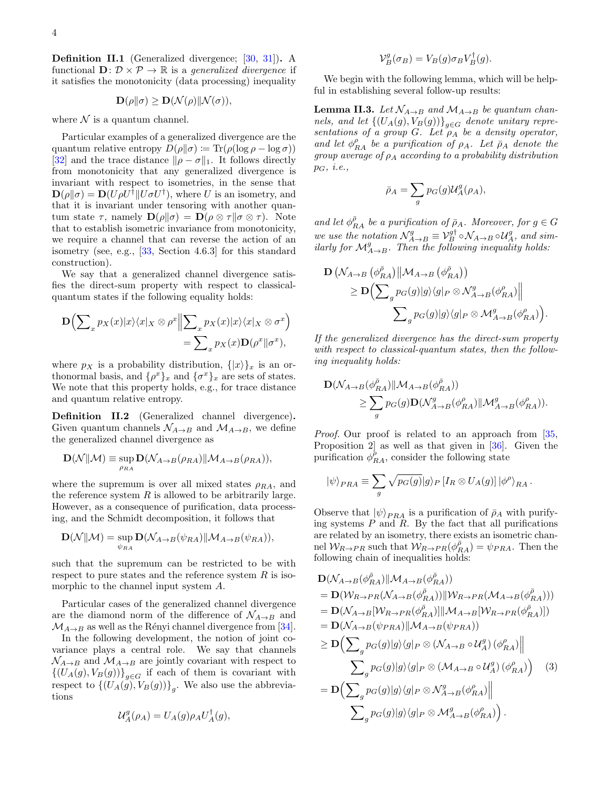Definition II.1 (Generalized divergence; [\[30,](#page-24-3) [31\]](#page-24-4)). A functional  $\mathbf{D}: \mathcal{D} \times \mathcal{P} \to \mathbb{R}$  is a generalized divergence if it satisfies the monotonicity (data processing) inequality

$$
\mathbf{D}(\rho||\sigma) \ge \mathbf{D}(\mathcal{N}(\rho)||\mathcal{N}(\sigma)),
$$

where  $N$  is a quantum channel.

Particular examples of a generalized divergence are the quantum relative entropy  $D(\rho||\sigma) := \text{Tr}(\rho(\log \rho - \log \sigma))$ [\[32\]](#page-24-5) and the trace distance  $\|\rho - \sigma\|_1$ . It follows directly from monotonicity that any generalized divergence is invariant with respect to isometries, in the sense that  $\mathbf{D}(\rho||\sigma) = \mathbf{D}(U\rho U^{\dagger}||U\sigma U^{\dagger}),$  where U is an isometry, and that it is invariant under tensoring with another quantum state  $\tau$ , namely  $\mathbf{D}(\rho\|\sigma) = \mathbf{D}(\rho\otimes\tau\|\sigma\otimes\tau)$ . Note that to establish isometric invariance from monotonicity, we require a channel that can reverse the action of an isometry (see, e.g., [\[33,](#page-24-6) Section 4.6.3] for this standard construction).

We say that a generalized channel divergence satisfies the direct-sum property with respect to classicalquantum states if the following equality holds:

$$
\mathbf{D}\Big(\sum\nolimits_x p_X(x)|x\rangle\langle x|_X \otimes \rho^x \Big\|\sum\nolimits_x p_X(x)|x\rangle\langle x|_X \otimes \sigma^x\Big) \\
= \sum\nolimits_x p_X(x)\mathbf{D}(\rho^x||\sigma^x),
$$

where  $p_X$  is a probability distribution,  $\{|x\rangle\}_x$  is an orthonormal basis, and  $\{\rho^x\}_x$  and  $\{\sigma^x\}_x$  are sets of states. We note that this property holds, e.g., for trace distance and quantum relative entropy.

Definition II.2 (Generalized channel divergence). Given quantum channels  $\mathcal{N}_{A\rightarrow B}$  and  $\mathcal{M}_{A\rightarrow B}$ , we define the generalized channel divergence as

$$
\mathbf{D}(\mathcal{N}||\mathcal{M}) \equiv \sup_{\rho_{RA}} \mathbf{D}(\mathcal{N}_{A\to B}(\rho_{RA})||\mathcal{M}_{A\to B}(\rho_{RA})),
$$

where the supremum is over all mixed states  $\rho_{RA}$ , and the reference system  $R$  is allowed to be arbitrarily large. However, as a consequence of purification, data processing, and the Schmidt decomposition, it follows that

$$
\mathbf{D}(\mathcal{N}||\mathcal{M}) = \sup_{\psi_{RA}} \mathbf{D}(\mathcal{N}_{A\to B}(\psi_{RA})||\mathcal{M}_{A\to B}(\psi_{RA})),
$$

such that the supremum can be restricted to be with respect to pure states and the reference system  $R$  is isomorphic to the channel input system A.

Particular cases of the generalized channel divergence are the diamond norm of the difference of  $\mathcal{N}_{A\rightarrow B}$  and  $\mathcal{M}_{A\rightarrow B}$  as well as the Rényi channel divergence from [\[34\]](#page-24-7).

In the following development, the notion of joint covariance plays a central role. We say that channels  $\mathcal{N}_{A\rightarrow B}$  and  $\mathcal{M}_{A\rightarrow B}$  are jointly covariant with respect to  $\{(U_A(g), V_B(g))\}_{g\in G}$  if each of them is covariant with respect to  $\{(U_A(g), V_B(g))\}_g$ . We also use the abbreviations

$$
\mathcal{U}_A^g(\rho_A) = U_A(g)\rho_A U_A^{\dagger}(g),
$$

$$
\mathcal{V}_B^g(\sigma_B) = V_B(g)\sigma_B V_B^{\dagger}(g).
$$

We begin with the following lemma, which will be helpful in establishing several follow-up results:

<span id="page-5-1"></span>**Lemma II.3.** Let  $\mathcal{N}_{A\rightarrow B}$  and  $\mathcal{M}_{A\rightarrow B}$  be quantum channels, and let  $\{(U_A(g), V_B(g))\}_{g \in G}$  denote unitary representations of a group  $G$ . Let  $\rho_A$  be a density operator, and let  $\phi_{RA}^{\rho}$  be a purification of  $\rho_A$ . Let  $\bar{\rho}_A$  denote the group average of  $\rho_A$  according to a probability distribution  $p_G$ , *i.e.*,

$$
\bar{\rho}_A = \sum_g p_G(g) \mathcal{U}_A^g(\rho_A),
$$

and let  $\phi_{RA}^{\bar{\rho}}$  be a purification of  $\bar{\rho}_A$ . Moreover, for  $g \in G$ we use the notation  $\mathcal{N}_{A\to B}^g \equiv \mathcal{V}_B^{g\dagger} \circ \mathcal{N}_{A\to B} \circ \mathcal{U}_A^g$ , and similarly for  $\mathcal{M}_{A\rightarrow B}^g$ . Then the following inequality holds:

$$
\begin{aligned} \mathbf{D} \left( \mathcal{N}_{A \to B} \left( \phi_{RA}^{\bar{\rho}} \right) \middle\| \mathcal{M}_{A \to B} \left( \phi_{RA}^{\bar{\rho}} \right) \right) \\ \geq \mathbf{D} \Big( \sum\nolimits_g p_G(g) \middle\vert g \rangle \langle g \middle\vert_P \otimes \mathcal{N}_{A \to B}^g(\phi_{RA}^{\rho}) \middle\vert \Big| \\ \sum\nolimits_g p_G(g) \middle\vert g \rangle \langle g \middle\vert_P \otimes \mathcal{M}_{A \to B}^g(\phi_{RA}^{\rho}) \Big). \end{aligned}
$$

If the generalized divergence has the direct-sum property with respect to classical-quantum states, then the following inequality holds:

$$
\begin{aligned} \mathbf{D}(\mathcal{N}_{A\to B}(\phi_{RA}^{\bar{\rho}}) \| \mathcal{M}_{A\to B}(\phi_{RA}^{\bar{\rho}})) \\ &\geq \sum_g p_G(g) \mathbf{D}(\mathcal{N}_{A\to B}^g(\phi_{RA}^{\rho}) \| \mathcal{M}_{A\to B}^g(\phi_{RA}^{\rho})). \end{aligned}
$$

Proof. Our proof is related to an approach from [\[35,](#page-24-8) Proposition 2] as well as that given in [\[36\]](#page-24-9). Given the purification  $\phi_{RA}^{\rho}$ , consider the following state

$$
|\psi\rangle_{PRA} \equiv \sum_{g} \sqrt{p_G(g)} |g\rangle_P [I_R \otimes U_A(g)] |\phi^{\rho}\rangle_{RA}.
$$

Observe that  $|\psi\rangle_{PRA}$  is a purification of  $\bar{\rho}_A$  with purifying systems  $P$  and  $R$ . By the fact that all purifications are related by an isometry, there exists an isometric channel  $W_{R\rightarrow PR}$  such that  $W_{R\rightarrow PR}(\phi_{RA}^{\bar{\rho}}) = \psi_{PAR}$ . Then the following chain of inequalities holds:

<span id="page-5-0"></span>
$$
\mathbf{D}(\mathcal{N}_{A\rightarrow B}(\phi_{RA}^{\bar{\rho}})||\mathcal{M}_{A\rightarrow B}(\phi_{RA}^{\bar{\rho}}))
$$
\n
$$
= \mathbf{D}(\mathcal{W}_{R\rightarrow PR}(\mathcal{N}_{A\rightarrow B}(\phi_{RA}^{\bar{\rho}}))||\mathcal{W}_{R\rightarrow PR}(\mathcal{M}_{A\rightarrow B}(\phi_{RA}^{\bar{\rho}})))
$$
\n
$$
= \mathbf{D}(\mathcal{N}_{A\rightarrow B}[\mathcal{W}_{R\rightarrow PR}(\phi_{RA}^{\bar{\rho}})]]||\mathcal{M}_{A\rightarrow B}[\mathcal{W}_{R\rightarrow PR}(\phi_{RA}^{\bar{\rho}})])
$$
\n
$$
= \mathbf{D}(\mathcal{N}_{A\rightarrow B}(\psi_{PRA})||\mathcal{M}_{A\rightarrow B}(\psi_{PRA}))
$$
\n
$$
\geq \mathbf{D}(\sum_{g} p_{G}(g)|g\rangle\langle g|_{P} \otimes (\mathcal{N}_{A\rightarrow B} \circ \mathcal{U}_{A}^{g})(\phi_{RA}^{o})||
$$
\n
$$
\sum_{g} p_{G}(g)|g\rangle\langle g|_{P} \otimes (\mathcal{M}_{A\rightarrow B} \circ \mathcal{U}_{A}^{g})(\phi_{RA}^{o})]
$$
\n
$$
= \mathbf{D}(\sum_{g} p_{G}(g)|g\rangle\langle g|_{P} \otimes \mathcal{N}_{A\rightarrow B}^{g}(\phi_{RA}^{o})||
$$
\n
$$
\sum_{g} p_{G}(g)|g\rangle\langle g|_{P} \otimes \mathcal{M}_{A\rightarrow B}^{g}(\phi_{RA}^{o})].
$$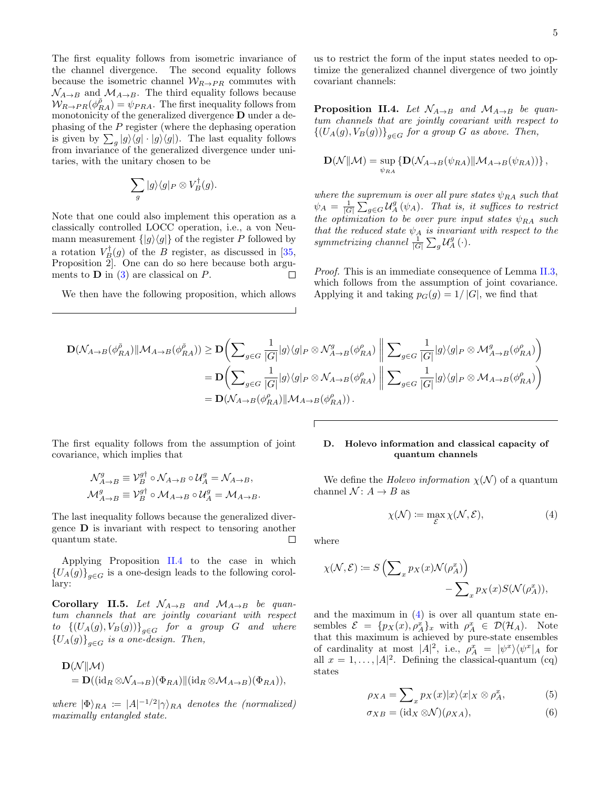The first equality follows from isometric invariance of the channel divergence. The second equality follows because the isometric channel  $W_{R\rightarrow PR}$  commutes with  $\mathcal{N}_{A\rightarrow B}$  and  $\mathcal{M}_{A\rightarrow B}$ . The third equality follows because  $W_{R\to PR}(\phi_{RA}^{\bar{\rho}})=\psi_{PRA}$ . The first inequality follows from monotonicity of the generalized divergence **D** under a dephasing of the P register (where the dephasing operation is given by  $\sum_g |g\rangle\langle g| \cdot |g\rangle\langle g|$ . The last equality follows from invariance of the generalized divergence under unitaries, with the unitary chosen to be

$$
\sum_{g} |g\rangle\langle g|_{P} \otimes V_{B}^{\dagger}(g).
$$

Note that one could also implement this operation as a classically controlled LOCC operation, i.e., a von Neumann measurement  $\{|g\rangle\langle g|\}$  of the register P followed by a rotation  $V_B^{\dagger}(g)$  of the B register, as discussed in [\[35,](#page-24-8) Proposition 2]. One can do so here because both arguments to  $\bf{D}$  in [\(3\)](#page-5-0) are classical on  $P$ .  $\Box$ 

We then have the following proposition, which allows

us to restrict the form of the input states needed to optimize the generalized channel divergence of two jointly covariant channels:

<span id="page-6-2"></span>**Proposition II.4.** Let  $\mathcal{N}_{A\rightarrow B}$  and  $\mathcal{M}_{A\rightarrow B}$  be quantum channels that are jointly covariant with respect to  $\{(U_A(g), V_B(g))\}_{g \in G}$  for a group G as above. Then,

$$
\mathbf{D}(\mathcal{N} \| \mathcal{M}) = \sup_{\psi_{RA}} \left\{ \mathbf{D}(\mathcal{N}_{A \to B}(\psi_{RA}) \| \mathcal{M}_{A \to B}(\psi_{RA})) \right\},\,
$$

where the supremum is over all pure states  $\psi_{RA}$  such that  $\psi_A = \frac{1}{|G|} \sum_{g \in G} \mathcal{U}_A^g(\psi_A)$ . That is, it suffices to restrict the optimization to be over pure input states  $\psi_{RA}$  such that the reduced state  $\psi_A$  is invariant with respect to the symmetrizing channel  $\frac{1}{|G|}\sum_g \mathcal{U}_A^g(\cdot)$ .

Proof. This is an immediate consequence of Lemma [II.3,](#page-5-1) which follows from the assumption of joint covariance. Applying it and taking  $p_G(g) = 1/|G|$ , we find that

$$
\begin{aligned} \mathbf{D}(\mathcal{N}_{A\rightarrow B}(\phi_{RA}^{\bar{\rho}}) \| \mathcal{M}_{A\rightarrow B}(\phi_{RA}^{\bar{\rho}})) &\geq \mathbf{D} \bigg( \sum\nolimits_{g\in G} \frac{1}{|G|} |g\rangle\langle g|_P \otimes \mathcal{N}_{A\rightarrow B}^g(\phi_{RA}^{\rho}) \ \bigg\| \sum\nolimits_{g\in G} \frac{1}{|G|} |g\rangle\langle g|_P \otimes \mathcal{M}_{A\rightarrow B}^g(\phi_{RA}^{\rho}) \bigg) \\ & = \mathbf{D} \bigg( \sum\nolimits_{g\in G} \frac{1}{|G|} |g\rangle\langle g|_P \otimes \mathcal{N}_{A\rightarrow B}(\phi_{RA}^{\rho}) \ \bigg\| \sum\nolimits_{g\in G} \frac{1}{|G|} |g\rangle\langle g|_P \otimes \mathcal{M}_{A\rightarrow B}(\phi_{RA}^{\rho}) \bigg) \\ & = \mathbf{D} \big( \mathcal{N}_{A\rightarrow B}(\phi_{RA}^{\rho}) \| \mathcal{M}_{A\rightarrow B}(\phi_{RA}^{\rho}) \big) \,. \end{aligned}
$$

The first equality follows from the assumption of joint covariance, which implies that

$$
\mathcal{N}_{A\to B}^g \equiv \mathcal{V}_B^{g\dagger} \circ \mathcal{N}_{A\to B} \circ \mathcal{U}_A^g = \mathcal{N}_{A\to B},
$$
  

$$
\mathcal{M}_{A\to B}^g \equiv \mathcal{V}_B^{g\dagger} \circ \mathcal{M}_{A\to B} \circ \mathcal{U}_A^g = \mathcal{M}_{A\to B}.
$$

The last inequality follows because the generalized divergence  $\bf{D}$  is invariant with respect to tensoring another quantum state.  $\Box$ 

Applying Proposition [II.4](#page-6-2) to the case in which  ${U_A(g)}_{g \in G}$  is a one-design leads to the following corollary:

Corollary II.5. Let  $\mathcal{N}_{A\rightarrow B}$  and  $\mathcal{M}_{A\rightarrow B}$  be quantum channels that are jointly covariant with respect  $to \left\{ (U_A(g), V_B(g)) \right\}_{g \in G}$  for a group G and where  ${U_A(g)}_{g \in G}$  is a one-design. Then,

$$
\mathbf{D}(\mathcal{N}||\mathcal{M})
$$
  
=  $\mathbf{D}((id_R \otimes \mathcal{N}_{A\to B})(\Phi_{RA})||(id_R \otimes \mathcal{M}_{A\to B})(\Phi_{RA})),$ 

where  $|\Phi\rangle_{RA} := |A|^{-1/2} |\gamma\rangle_{RA}$  denotes the (normalized) maximally entangled state.

#### <span id="page-6-1"></span>D. Holevo information and classical capacity of quantum channels

We define the *Holevo information*  $\chi(\mathcal{N})$  of a quantum channel  $\mathcal{N}: A \rightarrow B$  as

<span id="page-6-0"></span>
$$
\chi(\mathcal{N}) := \max_{\mathcal{E}} \chi(\mathcal{N}, \mathcal{E}),\tag{4}
$$

where

$$
\chi(\mathcal{N}, \mathcal{E}) \coloneqq S\left(\sum_{x} p_X(x) \mathcal{N}(\rho_A^x)\right) - \sum_{x} p_X(x) S(\mathcal{N}(\rho_A^x)),
$$

and the maximum in  $(4)$  is over all quantum state ensembles  $\mathcal{E} = \{p_X(x), \rho_A^x\}_x$  with  $\rho_A^x \in \mathcal{D}(\mathcal{H}_A)$ . Note that this maximum is achieved by pure-state ensembles of cardinality at most  $|A|^2$ , i.e.,  $\rho_A^x = |\psi^x\rangle\langle\psi^x|_A$  for all  $x = 1, ..., |A|^2$ . Defining the classical-quantum (cq) states

<span id="page-6-3"></span>
$$
\rho_{XA} = \sum_{x} p_X(x) |x\rangle\langle x|_X \otimes \rho_A^x,\tag{5}
$$

<span id="page-6-4"></span>
$$
\sigma_{XB} = (\mathrm{id}_X \otimes \mathcal{N})(\rho_{XA}),\tag{6}
$$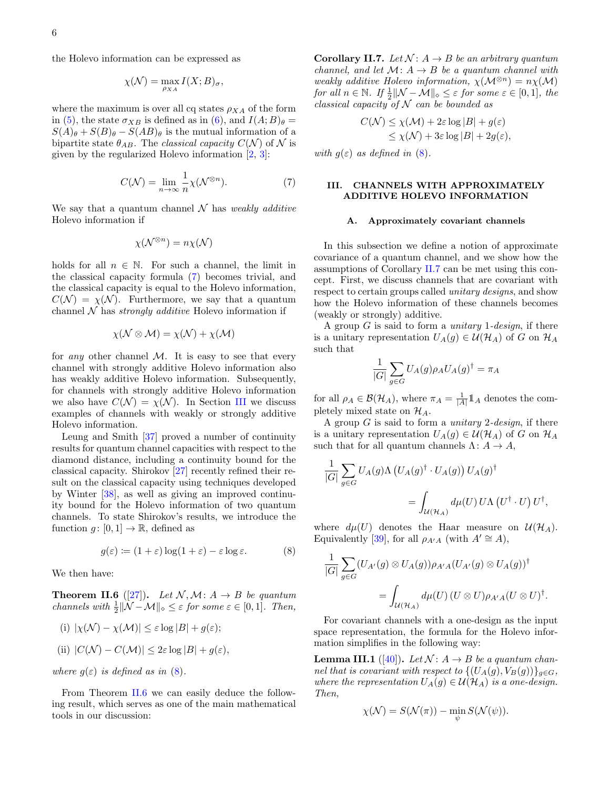the Holevo information can be expressed as

$$
\chi(\mathcal{N}) = \max_{\rho_{XA}} I(X;B)_{\sigma},
$$

where the maximum is over all cq states  $\rho_{XA}$  of the form in [\(5\)](#page-6-3), the state  $\sigma_{XB}$  is defined as in [\(6\)](#page-6-4), and  $I(A;B)_{\theta} =$  $S(A)_{\theta} + S(B)_{\theta} - S(AB)_{\theta}$  is the mutual information of a bipartite state  $\theta_{AB}$ . The *classical capacity*  $C(\mathcal{N})$  of  $\mathcal{N}$  is given by the regularized Holevo information [\[2,](#page-23-1) [3\]](#page-23-2):

$$
C(\mathcal{N}) = \lim_{n \to \infty} \frac{1}{n} \chi(\mathcal{N}^{\otimes n}).
$$
 (7)

We say that a quantum channel  $\mathcal N$  has weakly additive Holevo information if

$$
\chi(\mathcal{N}^{\otimes n}) = n \chi(\mathcal{N})
$$

holds for all  $n \in \mathbb{N}$ . For such a channel, the limit in the classical capacity formula [\(7\)](#page-7-3) becomes trivial, and the classical capacity is equal to the Holevo information,  $C(\mathcal{N}) = \chi(\mathcal{N})$ . Furthermore, we say that a quantum channel  $N$  has *strongly additive* Holevo information if

$$
\chi(\mathcal{N} \otimes \mathcal{M}) = \chi(\mathcal{N}) + \chi(\mathcal{M})
$$

for *any* other channel  $M$ . It is easy to see that every channel with strongly additive Holevo information also has weakly additive Holevo information. Subsequently, for channels with strongly additive Holevo information we also have  $C(\mathcal{N}) = \chi(\mathcal{N})$ . In Section [III](#page-7-2) we discuss examples of channels with weakly or strongly additive Holevo information.

Leung and Smith [\[37\]](#page-24-10) proved a number of continuity results for quantum channel capacities with respect to the diamond distance, including a continuity bound for the classical capacity. Shirokov [\[27\]](#page-24-0) recently refined their result on the classical capacity using techniques developed by Winter [\[38\]](#page-24-11), as well as giving an improved continuity bound for the Holevo information of two quantum channels. To state Shirokov's results, we introduce the function  $g: [0, 1] \to \mathbb{R}$ , defined as

$$
g(\varepsilon) := (1 + \varepsilon) \log(1 + \varepsilon) - \varepsilon \log \varepsilon. \tag{8}
$$

We then have:

<span id="page-7-5"></span>**Theorem II.6** ([\[27\]](#page-24-0)). Let  $\mathcal{N}, \mathcal{M} : A \rightarrow B$  be quantum channels with  $\frac{1}{2} \|\mathcal{N} - \mathcal{M}\|_{\infty} \leq \varepsilon$  for some  $\varepsilon \in [0, 1]$ . Then,

(i) 
$$
|\chi(\mathcal{N}) - \chi(\mathcal{M})| \leq \varepsilon \log |B| + g(\varepsilon);
$$

(ii) 
$$
|C(\mathcal{N}) - C(\mathcal{M})| \leq 2\varepsilon \log |B| + g(\varepsilon),
$$

where  $g(\varepsilon)$  is defined as in [\(8\)](#page-7-4).

From Theorem [II.6](#page-7-5) we can easily deduce the following result, which serves as one of the main mathematical tools in our discussion:

<span id="page-7-1"></span>**Corollary II.7.** Let  $\mathcal{N}: A \rightarrow B$  be an arbitrary quantum channel, and let  $\mathcal{M} : A \rightarrow B$  be a quantum channel with weakly additive Holevo information,  $\chi(\mathcal{M}^{\otimes n}) = n\chi(\mathcal{M})$ for all  $n \in \mathbb{N}$ . If  $\frac{1}{2} ||\mathcal{N} - \mathcal{M}||_{\diamond} \leq \varepsilon$  for some  $\varepsilon \in [0,1]$ , the classical capacity of  $N$  can be bounded as

$$
C(\mathcal{N}) \le \chi(\mathcal{M}) + 2\varepsilon \log |B| + g(\varepsilon)
$$
  
 
$$
\le \chi(\mathcal{N}) + 3\varepsilon \log |B| + 2g(\varepsilon),
$$

<span id="page-7-3"></span>with  $g(\varepsilon)$  as defined in [\(8\)](#page-7-4).

#### <span id="page-7-2"></span>III. CHANNELS WITH APPROXIMATELY ADDITIVE HOLEVO INFORMATION

#### <span id="page-7-0"></span>A. Approximately covariant channels

In this subsection we define a notion of approximate covariance of a quantum channel, and we show how the assumptions of Corollary [II.7](#page-7-1) can be met using this concept. First, we discuss channels that are covariant with respect to certain groups called unitary designs, and show how the Holevo information of these channels becomes (weakly or strongly) additive.

A group  $G$  is said to form a *unitary* 1- $design$ , if there is a unitary representation  $U_A(g) \in \mathcal{U}(\mathcal{H}_A)$  of G on  $\mathcal{H}_A$ such that

$$
\frac{1}{|G|} \sum_{g \in G} U_A(g) \rho_A U_A(g)^\dagger = \pi_A
$$

for all  $\rho_A \in \mathcal{B}(\mathcal{H}_A)$ , where  $\pi_A = \frac{1}{|A|} \mathbb{1}_A$  denotes the completely mixed state on  $\mathcal{H}_A$ .

A group  $G$  is said to form a *unitary 2-design*, if there is a unitary representation  $U_A(g) \in \mathcal{U}(\mathcal{H}_A)$  of G on  $\mathcal{H}_A$ such that for all quantum channels  $\Lambda: A \to A$ ,

$$
\frac{1}{|G|} \sum_{g \in G} U_A(g) \Lambda \left( U_A(g)^\dagger \cdot U_A(g) \right) U_A(g)^\dagger
$$
  
= 
$$
\int_{\mathcal{U}(\mathcal{H}_A)} d\mu(U) U \Lambda \left( U^\dagger \cdot U \right) U^\dagger,
$$

<span id="page-7-4"></span>where  $d\mu(U)$  denotes the Haar measure on  $\mathcal{U}(\mathcal{H}_A)$ . Equivalently [\[39\]](#page-24-12), for all  $\rho_{A'A}$  (with  $A' \cong A$ ),

$$
\frac{1}{|G|} \sum_{g \in G} (U_{A'}(g) \otimes U_A(g)) \rho_{A'A}(U_{A'}(g) \otimes U_A(g))^\dagger
$$
  
= 
$$
\int_{\mathcal{U}(\mathcal{H}_A)} d\mu(U) (U \otimes U) \rho_{A'A}(U \otimes U)^\dagger.
$$

For covariant channels with a one-design as the input space representation, the formula for the Holevo information simplifies in the following way:

<span id="page-7-6"></span>**Lemma III.1** ([\[40\]](#page-24-13)). Let  $\mathcal{N}: A \rightarrow B$  be a quantum channel that is covariant with respect to  $\{(U_A(g), V_B(g))\}_{g\in G}$ , where the representation  $U_A(g) \in \mathcal{U}(\mathcal{H}_A)$  is a one-design. Then,

$$
\chi(\mathcal{N}) = S(\mathcal{N}(\pi)) - \min_{\psi} S(\mathcal{N}(\psi)).
$$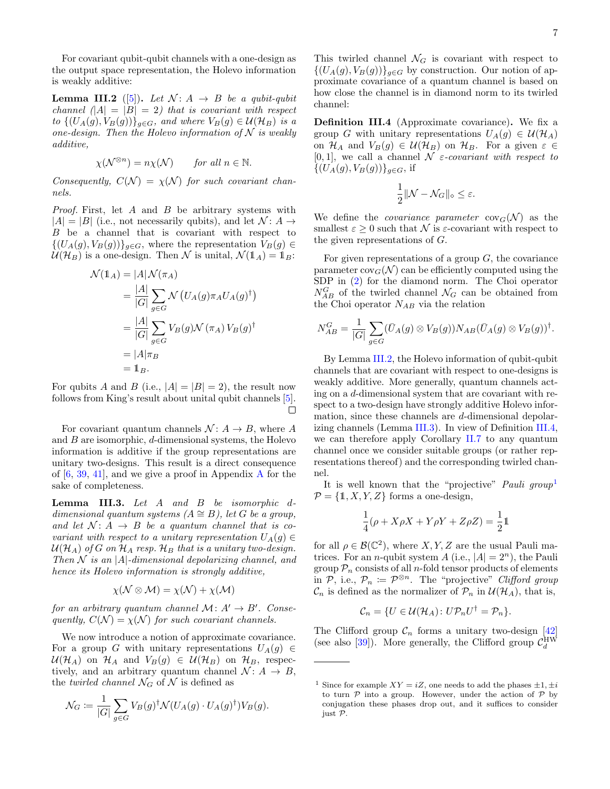For covariant qubit-qubit channels with a one-design as the output space representation, the Holevo information is weakly additive:

<span id="page-8-0"></span>**Lemma III.2** ([\[5\]](#page-23-4)). Let  $\mathcal{N} : A \rightarrow B$  be a qubit-qubit channel  $||A|| = |B|| = 2$ ) that is covariant with respect to  $\{(U_A(g), V_B(g))\}_{g \in G}$ , and where  $V_B(g) \in \mathcal{U}(\mathcal{H}_B)$  is a one-design. Then the Holevo information of  $N$  is weakly additive,

$$
\chi(\mathcal{N}^{\otimes n}) = n\chi(\mathcal{N}) \quad \text{for all } n \in \mathbb{N}.
$$

Consequently,  $C(\mathcal{N}) = \chi(\mathcal{N})$  for such covariant channels.

Proof. First, let A and B be arbitrary systems with  $|A| = |B|$  (i.e., not necessarily qubits), and let  $\mathcal{N} : A \rightarrow$ B be a channel that is covariant with respect to  $\{(U_A(g), V_B(g))\}_{g \in G}$ , where the representation  $V_B(g) \in$  $U(\mathcal{H}_B)$  is a one-design. Then N is unital,  $\mathcal{N}(\mathbb{1}_A) = \mathbb{1}_B$ :

$$
\mathcal{N}(\mathbb{1}_A) = |A| \mathcal{N}(\pi_A)
$$
  
=  $\frac{|A|}{|G|} \sum_{g \in G} \mathcal{N} (U_A(g)\pi_A U_A(g)^{\dagger})$   
=  $\frac{|A|}{|G|} \sum_{g \in G} V_B(g) \mathcal{N} (\pi_A) V_B(g)^{\dagger}$   
=  $|A|\pi_B$   
=  $\mathbb{1}_B$ .

For qubits A and B (i.e.,  $|A| = |B| = 2$ ), the result now follows from King's result about unital qubit channels [\[5\]](#page-23-4).  $\Box$ 

For covariant quantum channels  $\mathcal{N} : A \to B$ , where A and  $B$  are isomorphic,  $d$ -dimensional systems, the Holevo information is additive if the group representations are unitary two-designs. This result is a direct consequence of  $[6, 39, 41]$  $[6, 39, 41]$  $[6, 39, 41]$  $[6, 39, 41]$ , and we give a proof in [A](#page-18-0)ppendix A for the sake of completeness.

<span id="page-8-1"></span>Lemma III.3. Let A and B be isomorphic ddimensional quantum systems  $(A \cong B)$ , let G be a group, and let  $\mathcal{N} \colon A \to B$  be a quantum channel that is covariant with respect to a unitary representation  $U_A(g) \in$  $U(\mathcal{H}_A)$  of G on  $\mathcal{H}_A$  resp.  $\mathcal{H}_B$  that is a unitary two-design. Then  $\mathcal N$  is an |A|-dimensional depolarizing channel, and hence its Holevo information is strongly additive,

$$
\chi(\mathcal{N} \otimes \mathcal{M}) = \chi(\mathcal{N}) + \chi(\mathcal{M})
$$

for an arbitrary quantum channel  $\mathcal{M}: A' \to B'$ . Consequently,  $C(\mathcal{N}) = \chi(\mathcal{N})$  for such covariant channels.

We now introduce a notion of approximate covariance. For a group G with unitary representations  $U_A(g) \in$  $\mathcal{U}(\mathcal{H}_A)$  on  $\mathcal{H}_A$  and  $V_B(g) \in \mathcal{U}(\mathcal{H}_B)$  on  $\mathcal{H}_B$ , respectively, and an arbitrary quantum channel  $\mathcal{N}: A \rightarrow B$ , the *twirled channel*  $\mathcal{N}_G$  of  $\mathcal N$  is defined as

$$
\mathcal{N}_G := \frac{1}{|G|} \sum_{g \in G} V_B(g)^\dagger \mathcal{N}(U_A(g) \cdot U_A(g)^\dagger) V_B(g).
$$

This twirled channel  $\mathcal{N}_G$  is covariant with respect to  $\{(U_A(g), V_B(g))\}_{g\in G}$  by construction. Our notion of approximate covariance of a quantum channel is based on how close the channel is in diamond norm to its twirled channel:

<span id="page-8-2"></span>Definition III.4 (Approximate covariance). We fix a group G with unitary representations  $U_A(q) \in \mathcal{U}(\mathcal{H}_A)$ on  $\mathcal{H}_A$  and  $V_B(g) \in \mathcal{U}(\mathcal{H}_B)$  on  $\mathcal{H}_B$ . For a given  $\varepsilon \in$ [0, 1], we call a channel  $\mathcal N$  *ε-covariant with respect to*  $\{(U_A(g), V_B(g))\}_{g \in G}$ , if

$$
\frac{1}{2}||\mathcal{N}-\mathcal{N}_G||_{\diamond}\leq\varepsilon.
$$

We define the *covariance* parameter  $cov_G(\mathcal{N})$  as the smallest  $\varepsilon > 0$  such that N is  $\varepsilon$ -covariant with respect to the given representations of G.

For given representations of a group  $G$ , the covariance parameter  $cov_G(\mathcal{N})$  can be efficiently computed using the SDP in [\(2\)](#page-4-1) for the diamond norm. The Choi operator  $N_{AB}^G$  of the twirled channel  $\mathcal{N}_G$  can be obtained from the Choi operator  $N_{AB}$  via the relation

$$
N_{AB}^G = \frac{1}{|G|} \sum_{g \in G} (\bar{U}_A(g) \otimes V_B(g)) N_{AB} (\bar{U}_A(g) \otimes V_B(g))^{\dagger}.
$$

By Lemma [III.2,](#page-8-0) the Holevo information of qubit-qubit channels that are covariant with respect to one-designs is weakly additive. More generally, quantum channels acting on a d-dimensional system that are covariant with respect to a two-design have strongly additive Holevo information, since these channels are d-dimensional depolarizing channels (Lemma [III.3\)](#page-8-1). In view of Definition [III.4,](#page-8-2) we can therefore apply Corollary [II.7](#page-7-1) to any quantum channel once we consider suitable groups (or rather representations thereof) and the corresponding twirled channel.

It is well known that the "projective" Pauli group<sup>[1](#page-8-3)</sup>  $\mathcal{P} = \{1, X, Y, Z\}$  forms a one-design,

$$
\frac{1}{4}(\rho + X\rho X + Y\rho Y + Z\rho Z) = \frac{1}{2}\mathbb{1}
$$

for all  $\rho \in \mathcal{B}(\mathbb{C}^2)$ , where  $X, Y, Z$  are the usual Pauli matrices. For an *n*-qubit system A (i.e.,  $|A| = 2<sup>n</sup>$ ), the Pauli group  $P_n$  consists of all *n*-fold tensor products of elements in P, i.e.,  $\mathcal{P}_n := \mathcal{P}^{\otimes n}$ . The "projective" Clifford group  $\mathcal{C}_n$  is defined as the normalizer of  $\mathcal{P}_n$  in  $\mathcal{U}(\mathcal{H}_A)$ , that is,

$$
\mathcal{C}_n = \{ U \in \mathcal{U}(\mathcal{H}_A) : U \mathcal{P}_n U^{\dagger} = \mathcal{P}_n \}.
$$

The Clifford group  $\mathcal{C}_n$  forms a unitary two-design [\[42\]](#page-24-15) (see also [\[39\]](#page-24-12)). More generally, the Clifford group  $\mathcal{C}_d^{\text{HW}}$ 

<span id="page-8-3"></span><sup>&</sup>lt;sup>1</sup> Since for example  $XY = iZ$ , one needs to add the phases  $\pm 1, \pm i$ to turn  $P$  into a group. However, under the action of  $P$  by conjugation these phases drop out, and it suffices to consider just  $\mathcal{P}$ .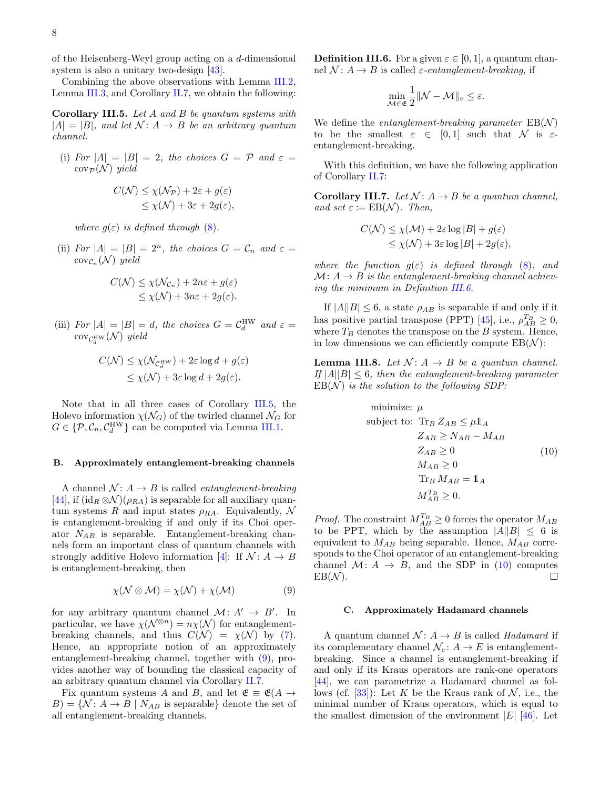of the Heisenberg-Weyl group acting on a d-dimensional system is also a unitary two-design [\[43\]](#page-24-16).

Combining the above observations with Lemma [III.2,](#page-8-0) Lemma [III.3,](#page-8-1) and Corollary [II.7,](#page-7-1) we obtain the following:

<span id="page-9-0"></span>Corollary III.5. Let A and B be quantum systems with  $|A| = |B|$ , and let  $\mathcal{N}: A \rightarrow B$  be an arbitrary quantum channel.

<span id="page-9-5"></span>(i) For  $|A| = |B| = 2$ , the choices  $G = \mathcal{P}$  and  $\varepsilon =$  $\operatorname{cov}_{\mathcal{P}}(\mathcal{N})$  yield

$$
C(\mathcal{N}) \le \chi(\mathcal{N}_{\mathcal{P}}) + 2\varepsilon + g(\varepsilon)
$$
  

$$
\le \chi(\mathcal{N}) + 3\varepsilon + 2g(\varepsilon),
$$

where  $g(\varepsilon)$  is defined through [\(8\)](#page-7-4).

(ii) For  $|A| = |B| = 2^n$ , the choices  $G = C_n$  and  $\varepsilon =$  $cov_{\mathcal{C}_n}(\mathcal{N})$  yield

$$
C(\mathcal{N}) \le \chi(\mathcal{N}_{\mathcal{C}_n}) + 2n\varepsilon + g(\varepsilon)
$$
  
\n
$$
\le \chi(\mathcal{N}) + 3n\varepsilon + 2g(\varepsilon).
$$

(iii) For  $|A| = |B| = d$ , the choices  $G = C_d^{\text{HW}}$  and  $\varepsilon =$  $\operatorname{cov}_{\mathcal{C}_d^{\mathrm{HW}}}(\mathcal{N})$  yield

$$
C(\mathcal{N}) \le \chi(\mathcal{N}_{\mathcal{C}_d^{\text{HW}}}) + 2\varepsilon \log d + g(\varepsilon)
$$
  

$$
\le \chi(\mathcal{N}) + 3\varepsilon \log d + 2g(\varepsilon).
$$

Note that in all three cases of Corollary [III.5,](#page-9-0) the Holevo information  $\chi(\mathcal{N}_G)$  of the twirled channel  $\mathcal{N}_G$  for  $G \in \{P, C_n, C_d^{\text{HW}}\}$  can be computed via Lemma [III.1.](#page-7-6)

#### B. Approximately entanglement-breaking channels

A channel  $\mathcal{N}: A \rightarrow B$  is called *entanglement-breaking* [\[44\]](#page-24-17), if  $(id_R \otimes \mathcal{N})(\rho_{RA})$  is separable for all auxiliary quantum systems R and input states  $\rho_{RA}$ . Equivalently, N is entanglement-breaking if and only if its Choi operator  $N_{AB}$  is separable. Entanglement-breaking channels form an important class of quantum channels with strongly additive Holevo information [\[4\]](#page-23-3): If  $\mathcal{N}: A \rightarrow B$ is entanglement-breaking, then

$$
\chi(\mathcal{N} \otimes \mathcal{M}) = \chi(\mathcal{N}) + \chi(\mathcal{M})
$$
\n(9)

for any arbitrary quantum channel  $\mathcal{M}: A' \rightarrow B'$ . In particular, we have  $\chi(\mathcal{N}^{\otimes n}) = n\chi(\mathcal{N})$  for entanglementbreaking channels, and thus  $C(\mathcal{N}) = \chi(\mathcal{N})$  by [\(7\)](#page-7-3). Hence, an appropriate notion of an approximately entanglement-breaking channel, together with [\(9\)](#page-9-2), provides another way of bounding the classical capacity of an arbitrary quantum channel via Corollary [II.7.](#page-7-1)

Fix quantum systems A and B, and let  $\mathfrak{E} \equiv \mathfrak{E}(A \rightarrow$  $B = \{ \mathcal{N} : A \to B \mid N_{AB}$  is separable denote the set of all entanglement-breaking channels.

<span id="page-9-3"></span>**Definition III.6.** For a given  $\varepsilon \in [0, 1]$ , a quantum channel  $\mathcal{N}: A \rightarrow B$  is called  $\varepsilon$ -entanglement-breaking, if

$$
\min_{\mathcal{M} \in \mathfrak{E}} \frac{1}{2} \|\mathcal{N} - \mathcal{M}\|_{\diamond} \leq \varepsilon.
$$

We define the *entanglement-breaking parameter*  $EB(N)$ to be the smallest  $\varepsilon \in [0,1]$  such that N is  $\varepsilon$ entanglement-breaking.

With this definition, we have the following application of Corollary [II.7:](#page-7-1)

<span id="page-9-1"></span>Corollary III.7. Let  $\mathcal{N}: A \rightarrow B$  be a quantum channel, and set  $\varepsilon := \text{EB}(\mathcal{N})$ . Then,

$$
C(\mathcal{N}) \le \chi(\mathcal{M}) + 2\varepsilon \log |B| + g(\varepsilon)
$$
  

$$
\le \chi(\mathcal{N}) + 3\varepsilon \log |B| + 2g(\varepsilon),
$$

where the function  $q(\varepsilon)$  is defined through [\(8\)](#page-7-4), and  $\mathcal{M}: A \rightarrow B$  is the entanglement-breaking channel achieving the minimum in Definition [III.6.](#page-9-3)

If  $|A||B| \leq 6$ , a state  $\rho_{AB}$  is separable if and only if it has positive partial transpose (PPT) [\[45\]](#page-24-18), i.e.,  $\rho_{AB}^{T_B} \ge 0$ , where  $T_B$  denotes the transpose on the B system. Hence, in low dimensions we can efficiently compute  $EB(\mathcal{N})$ :

**Lemma III.8.** Let  $\mathcal{N} : A \rightarrow B$  be a quantum channel. If  $|A||B| \leq 6$ , then the entanglement-breaking parameter  $EB(N)$  is the solution to the following SDP:

<span id="page-9-4"></span>minimize: 
$$
\mu
$$
  
\nsubject to:  $\text{Tr}_B Z_{AB} \leq \mu \mathbb{1}_A$   
\n $Z_{AB} \geq N_{AB} - M_{AB}$   
\n $Z_{AB} \geq 0$   
\n $M_{AB} \geq 0$   
\n $\text{Tr}_B M_{AB} = \mathbb{1}_A$   
\n $M_{AB}^T \geq 0$ .

*Proof.* The constraint  $M_{AB}^{T_B} \geq 0$  forces the operator  $M_{AB}$ to be PPT, which by the assumption  $|A||B| \leq 6$  is equivalent to  $M_{AB}$  being separable. Hence,  $M_{AB}$  corresponds to the Choi operator of an entanglement-breaking channel  $\mathcal{M}: A \rightarrow B$ , and the SDP in [\(10\)](#page-9-4) computes  $EB(\mathcal{N}).$  $\Box$ 

#### C. Approximately Hadamard channels

<span id="page-9-2"></span>A quantum channel  $\mathcal{N}: A \rightarrow B$  is called Hadamard if its complementary channel  $\mathcal{N}_c: A \to E$  is entanglementbreaking. Since a channel is entanglement-breaking if and only if its Kraus operators are rank-one operators [\[44\]](#page-24-17), we can parametrize a Hadamard channel as fol-lows (cf. [\[33\]](#page-24-6)): Let K be the Kraus rank of N, i.e., the minimal number of Kraus operators, which is equal to the smallest dimension of the environment  $|E|$  [\[46\]](#page-24-19). Let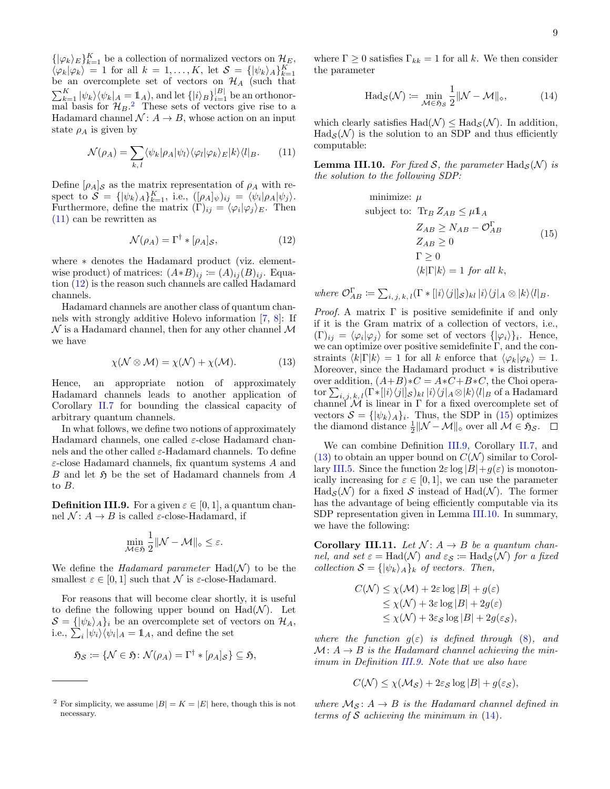$\{|\varphi_k\rangle_E\}_{k=1}^K$  be a collection of normalized vectors on  $\mathcal{H}_E$ ,  $\langle \varphi_k | \varphi_k \rangle = 1$  for all  $k = 1, ..., K$ , let  $\mathcal{S} = {\{ |\psi_k\rangle_A \}}_{k=1}^K$ be an overcomplete set of vectors on  $\mathcal{H}_A$  (such that  $\sum_{k=1}^K |\psi_k\rangle \langle \psi_k|_A = \mathbf{1}_A$ , and let  $\{|i\rangle_B\}_{i=1}^{|B|}$  be an orthonormal basis for  $\mathcal{H}_B$ .<sup>[2](#page-10-1)</sup> These sets of vectors give rise to a Hadamard channel  $\mathcal{N} : A \to B$ , whose action on an input state  $\rho_A$  is given by

$$
\mathcal{N}(\rho_A) = \sum_{k,l} \langle \psi_k | \rho_A | \psi_l \rangle \langle \varphi_l | \varphi_k \rangle_E | k \rangle \langle l |_B. \qquad (11)
$$

Define  $[\rho_A]_{\mathcal{S}}$  as the matrix representation of  $\rho_A$  with respect to  $\mathcal{S} = \{ |\psi_k\rangle_A \}_{k=1}^K$ , i.e.,  $([\rho_A]_{\psi})_{ij} = \langle \psi_i | \rho_A | \psi_j \rangle$ . Furthermore, define the matrix  $(\Gamma)_{ij} = \langle \varphi_i | \varphi_j \rangle_E$ . Then [\(11\)](#page-10-2) can be rewritten as

$$
\mathcal{N}(\rho_A) = \Gamma^{\dagger} * [\rho_A]_{\mathcal{S}},\tag{12}
$$

where ∗ denotes the Hadamard product (viz. elementwise product) of matrices:  $(A*B)_{ij} \coloneqq (A)_{ij}(B)_{ij}$ . Equation [\(12\)](#page-10-3) is the reason such channels are called Hadamard channels.

Hadamard channels are another class of quantum channels with strongly additive Holevo information [\[7,](#page-23-6) [8\]](#page-23-7): If  $\mathcal N$  is a Hadamard channel, then for any other channel  $\mathcal M$ we have

$$
\chi(\mathcal{N} \otimes \mathcal{M}) = \chi(\mathcal{N}) + \chi(\mathcal{M}). \tag{13}
$$

Hence, an appropriate notion of approximately Hadamard channels leads to another application of Corollary [II.7](#page-7-1) for bounding the classical capacity of arbitrary quantum channels.

In what follows, we define two notions of approximately Hadamard channels, one called  $\varepsilon$ -close Hadamard channels and the other called  $\varepsilon$ -Hadamard channels. To define  $\varepsilon$ -close Hadamard channels, fix quantum systems A and  $B$  and let  $\mathfrak H$  be the set of Hadamard channels from  $A$ to B.

<span id="page-10-5"></span>**Definition III.9.** For a given  $\varepsilon \in [0, 1]$ , a quantum channel  $\mathcal{N}: A \rightarrow B$  is called  $\varepsilon$ -close-Hadamard, if

$$
\min_{\mathcal{M}\in\mathfrak{H}}\frac{1}{2}\|\mathcal{N}-\mathcal{M}\|_{\diamond}\leq\varepsilon.
$$

We define the *Hadamard parameter*  $\text{Had}(\mathcal{N})$  to be the smallest  $\varepsilon \in [0,1]$  such that N is  $\varepsilon$ -close-Hadamard.

For reasons that will become clear shortly, it is useful to define the following upper bound on  $Had(\mathcal{N})$ . Let  $\mathcal{S} = \{ |\psi_k\rangle_A \}_i$  be an overcomplete set of vectors on  $\mathcal{H}_A$ , i.e.,  $\sum_{i} |\psi_i\rangle \langle \psi_i|_A = \mathbb{1}_A$ , and define the set

$$
\mathfrak{H}_{\mathcal{S}} \coloneqq \{ \mathcal{N} \in \mathfrak{H} \colon \mathcal{N}(\rho_A) = \Gamma^{\dagger} * [\rho_A]_{\mathcal{S}} \} \subseteq \mathfrak{H},
$$

where  $\Gamma \geq 0$  satisfies  $\Gamma_{kk} = 1$  for all k. We then consider the parameter

<span id="page-10-8"></span>
$$
\text{Had}_{\mathcal{S}}(\mathcal{N}) \coloneqq \min_{\mathcal{M} \in \mathfrak{H}_{\mathcal{S}}} \frac{1}{2} \|\mathcal{N} - \mathcal{M}\|_{\diamond},\tag{14}
$$

which clearly satisfies  $\text{Had}(\mathcal{N}) \leq \text{Had}_{\mathcal{S}}(\mathcal{N})$ . In addition,  $\text{Had}_{\mathcal{S}}(\mathcal{N})$  is the solution to an SDP and thus efficiently computable:

<span id="page-10-7"></span><span id="page-10-2"></span>**Lemma III.10.** For fixed S, the parameter Had<sub>S</sub>(N) is the solution to the following SDP:

<span id="page-10-4"></span>minimize: 
$$
\mu
$$
  
\nsubject to:  $\text{Tr}_B Z_{AB} \leq \mu \mathbb{1}_A$   
\n $Z_{AB} \geq N_{AB} - \mathcal{O}_{AB}^{\Gamma}$   
\n $Z_{AB} \geq 0$   
\n $\Gamma \geq 0$   
\n $\langle k|\Gamma|k\rangle = 1 \text{ for all } k,$  (15)

<span id="page-10-3"></span>where  $\mathcal{O}_{AB}^{\Gamma} \coloneqq \sum_{i, j, k, l} (\Gamma \ast [i] \langle j |]_{S})_{kl} |i\rangle \langle j|_{A} \otimes |k\rangle \langle l|_{B}$ .

<span id="page-10-6"></span>*Proof.* A matrix  $\Gamma$  is positive semidefinite if and only if it is the Gram matrix of a collection of vectors, i.e.,  $(\Gamma)_{ij} = \langle \varphi_i | \varphi_j \rangle$  for some set of vectors  $\{ | \varphi_i \rangle \}_i$ . Hence, we can optimize over positive semidefinite  $\Gamma$ , and the constraints  $\langle k|\Gamma|k \rangle = 1$  for all k enforce that  $\langle \varphi_k|\varphi_k \rangle = 1$ . Moreover, since the Hadamard product ∗ is distributive over addition,  $(A+B)*C = A*C+B*C$ , the Choi opera- $\text{tor }\sum_{i,\,j,\,k,\,l}(\Gamma*[[i\rangle\langle j]]_{\mathcal{S}})_{kl}\,|i\rangle\langle j|_A \otimes |k\rangle\langle l|_B \text{ of a Hadamard}$ channel  $\mathcal M$  is linear in  $\Gamma$  for a fixed overcomplete set of vectors  $\mathcal{S} = \{ |\psi_k\rangle_A \}_i$ . Thus, the SDP in [\(15\)](#page-10-4) optimizes the diamond distance  $\frac{1}{2} ||\mathcal{N} - \mathcal{M}||_{\diamond}$  over all  $\mathcal{M} \in \mathfrak{H}_{\mathcal{S}}$ .

We can combine Definition [III.9,](#page-10-5) Corollary [II.7,](#page-7-1) and  $(13)$  to obtain an upper bound on  $C(\mathcal{N})$  similar to Corol-lary [III.5.](#page-9-0) Since the function  $2\varepsilon \log |B| + g(\varepsilon)$  is monotonically increasing for  $\varepsilon \in [0,1]$ , we can use the parameter  $\text{Had}_{\mathcal{S}}(\mathcal{N})$  for a fixed  $\mathcal{S}$  instead of  $\text{Had}(\mathcal{N})$ . The former has the advantage of being efficiently computable via its SDP representation given in Lemma [III.10.](#page-10-7) In summary, we have the following:

<span id="page-10-0"></span>Corollary III.11. Let  $\mathcal{N}: A \rightarrow B$  be a quantum channel, and set  $\varepsilon = \text{Had}(\mathcal{N})$  and  $\varepsilon_{\mathcal{S}} \coloneqq \text{Had}_{\mathcal{S}}(\mathcal{N})$  for a fixed collection  $S = {\psi_k}_A$  of vectors. Then,

$$
C(\mathcal{N}) \le \chi(\mathcal{M}) + 2\varepsilon \log |B| + g(\varepsilon)
$$
  
\n
$$
\le \chi(\mathcal{N}) + 3\varepsilon \log |B| + 2g(\varepsilon)
$$
  
\n
$$
\le \chi(\mathcal{N}) + 3\varepsilon_{\mathcal{S}} \log |B| + 2g(\varepsilon_{\mathcal{S}}),
$$

where the function  $g(\varepsilon)$  is defined through  $(8)$ , and  $M: A \rightarrow B$  is the Hadamard channel achieving the minimum in Definition [III.9.](#page-10-5) Note that we also have

$$
C(\mathcal{N}) \le \chi(\mathcal{M}_{\mathcal{S}}) + 2\varepsilon_{\mathcal{S}} \log |B| + g(\varepsilon_{\mathcal{S}}),
$$

where  $\mathcal{M}_{\mathcal{S}}\colon A\to B$  is the Hadamard channel defined in terms of  $S$  achieving the minimum in  $(14)$ .

<span id="page-10-1"></span><sup>&</sup>lt;sup>2</sup> For simplicity, we assume  $|B| = K = |E|$  here, though this is not necessary.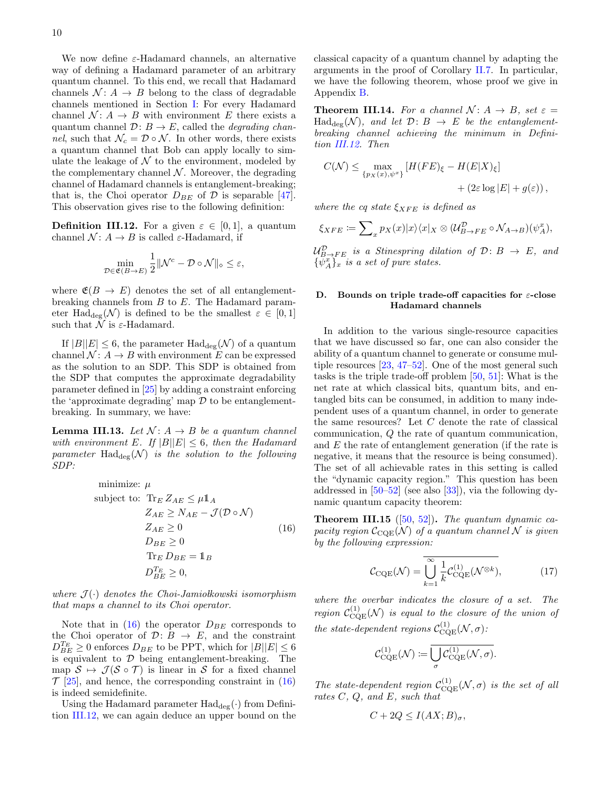We now define  $\varepsilon$ -Hadamard channels, an alternative way of defining a Hadamard parameter of an arbitrary quantum channel. To this end, we recall that Hadamard channels  $\mathcal{N}: A \rightarrow B$  belong to the class of degradable channels mentioned in Section [I:](#page-2-4) For every Hadamard channel  $\mathcal{N} : A \to B$  with environment E there exists a quantum channel  $\mathcal{D}: B \to E$ , called the *degrading chan*nel, such that  $\mathcal{N}_c = \mathcal{D} \circ \mathcal{N}$ . In other words, there exists a quantum channel that Bob can apply locally to simulate the leakage of  $\mathcal N$  to the environment, modeled by the complementary channel  $N$ . Moreover, the degrading channel of Hadamard channels is entanglement-breaking; that is, the Choi operator  $D_{BE}$  of  $D$  is separable [\[47\]](#page-24-20). This observation gives rise to the following definition:

<span id="page-11-2"></span>**Definition III.12.** For a given  $\varepsilon \in [0,1]$ , a quantum channel  $\mathcal{N}: A \rightarrow B$  is called  $\varepsilon$ -Hadamard, if

$$
\min_{\mathcal{D}\in\mathfrak{E}(B\to E)}\frac{1}{2}\|\mathcal{N}^c-\mathcal{D}\circ\mathcal{N}\|_{\diamond}\leq\varepsilon,
$$

where  $\mathfrak{E}(B \to E)$  denotes the set of all entanglementbreaking channels from B to E. The Hadamard parameter Had<sub>deg</sub>(N) is defined to be the smallest  $\varepsilon \in [0,1]$ such that  $\mathcal N$  is  $\varepsilon$ -Hadamard.

If  $|B||E| \leq 6$ , the parameter  $\text{Had}_{\text{deg}}(\mathcal{N})$  of a quantum channel  $\mathcal{N} : A \to B$  with environment E can be expressed as the solution to an SDP. This SDP is obtained from the SDP that computes the approximate degradability parameter defined in [\[25\]](#page-23-19) by adding a constraint enforcing the 'approximate degrading' map  $\mathcal D$  to be entanglementbreaking. In summary, we have:

**Lemma III.13.** Let  $\mathcal{N} : A \rightarrow B$  be a quantum channel with environment E. If  $|B||E| \leq 6$ , then the Hadamard parameter  $\text{Had}_{\text{deg}}(\mathcal{N})$  is the solution to the following SDP:

minimize: 
$$
\mu
$$
  
\nsubject to:  $\text{Tr}_E Z_{AE} \leq \mu \mathbb{1}_A$   
\n $Z_{AE} \geq N_{AE} - \mathcal{J}(\mathcal{D} \circ \mathcal{N})$   
\n $Z_{AE} \geq 0$   
\n $D_{BE} \geq 0$   
\n $\text{Tr}_E D_{BE} = \mathbb{1}_B$   
\n $D_{BE}^{T_E} \geq 0$ ,

where  $\mathcal{J}(\cdot)$  denotes the Choi-Jamiołkowski isomorphism that maps a channel to its Choi operator.

Note that in  $(16)$  the operator  $D_{BE}$  corresponds to the Choi operator of  $\mathcal{D}: B \to E$ , and the constraint  $D_{BE}^{T_E} \ge 0$  enforces  $D_{BE}$  to be PPT, which for  $|B||E| \le 6$ is equivalent to  $D$  being entanglement-breaking. The map  $S \mapsto \mathcal{J}(\mathcal{S} \circ \mathcal{T})$  is linear in S for a fixed channel  $\mathcal{T}$  [\[25\]](#page-23-19), and hence, the corresponding constraint in [\(16\)](#page-11-1) is indeed semidefinite.

Using the Hadamard parameter  $\text{Had}_{\text{deg}}(\cdot)$  from Definition [III.12,](#page-11-2) we can again deduce an upper bound on the classical capacity of a quantum channel by adapting the arguments in the proof of Corollary [II.7.](#page-7-1) In particular, we have the following theorem, whose proof we give in Appendix [B.](#page-19-0)

<span id="page-11-0"></span>**Theorem III.14.** For a channel  $\mathcal{N} : A \rightarrow B$ , set  $\varepsilon =$  $\text{Had}_{\text{dec}}(\mathcal{N})$ , and let  $\mathcal{D}: B \to E$  be the entanglementbreaking channel achieving the minimum in Definition [III.12.](#page-11-2) Then

$$
C(\mathcal{N}) \le \max_{\{p_X(x), \psi^x\}} \left[ H(FE)_{\xi} - H(E|X)_{\xi} \right] + (2\varepsilon \log |E| + g(\varepsilon)),
$$

where the cq state  $\xi_{XFE}$  is defined as

$$
\xi_{XFE} := \sum_{x} p_X(x)|x\rangle\langle x|_X \otimes (\mathcal{U}_{B\to FE}^{\mathcal{D}} \circ \mathcal{N}_{A\to B})(\psi_A^x),
$$

 $\mathcal{U}_{B\rightarrow FE}^{\mathcal{D}}$  is a Stinespring dilation of  $\mathcal{D}\colon B\ \rightarrow\ E,$  and  $\{\tilde{\psi}_A^x\}_x$  is a set of pure states.

#### D. Bounds on triple trade-off capacities for  $\varepsilon$ -close Hadamard channels

In addition to the various single-resource capacities that we have discussed so far, one can also consider the ability of a quantum channel to generate or consume multiple resources [\[23,](#page-23-17) [47–](#page-24-20)[52\]](#page-24-21). One of the most general such tasks is the triple trade-off problem [\[50,](#page-24-22) [51\]](#page-24-23): What is the net rate at which classical bits, quantum bits, and entangled bits can be consumed, in addition to many independent uses of a quantum channel, in order to generate the same resources? Let  $C$  denote the rate of classical communication, Q the rate of quantum communication, and E the rate of entanglement generation (if the rate is negative, it means that the resource is being consumed). The set of all achievable rates in this setting is called the "dynamic capacity region." This question has been addressed in [\[50–](#page-24-22)[52\]](#page-24-21) (see also [\[33\]](#page-24-6)), via the following dynamic quantum capacity theorem:

<span id="page-11-1"></span>**Theorem III.15** ([\[50,](#page-24-22) [52\]](#page-24-21)). The quantum dynamic capacity region  $C_{COE}(\mathcal{N})$  of a quantum channel N is given by the following expression:

<span id="page-11-3"></span>
$$
\mathcal{C}_{\rm CQE}(\mathcal{N}) = \overline{\bigcup_{k=1}^{\infty} \frac{1}{k} \mathcal{C}_{\rm CQE}^{(1)}(\mathcal{N}^{\otimes k})},\tag{17}
$$

where the overbar indicates the closure of a set. The region  $\mathcal{C}_{\mathrm{CQE}}^{(1)}(\mathcal{N})$  is equal to the closure of the union of the state-dependent regions  $\mathcal{C}_{\mathrm{CQE}}^{(1)}(\mathcal{N},\sigma)$ :

<span id="page-11-4"></span>
$$
\mathcal{C}_{\mathrm{CQE}}^{(1)}(\mathcal{N}) \coloneqq \overline{\bigcup_{\sigma} \mathcal{C}_{\mathrm{CQE}}^{(1)}(\mathcal{N}, \sigma)}.
$$

The state-dependent region  $C^{(1)}_{CQE}(\mathcal{N},\sigma)$  is the set of all rates C, Q, and E, such that

$$
C + 2Q \le I(AX; B)_{\sigma},
$$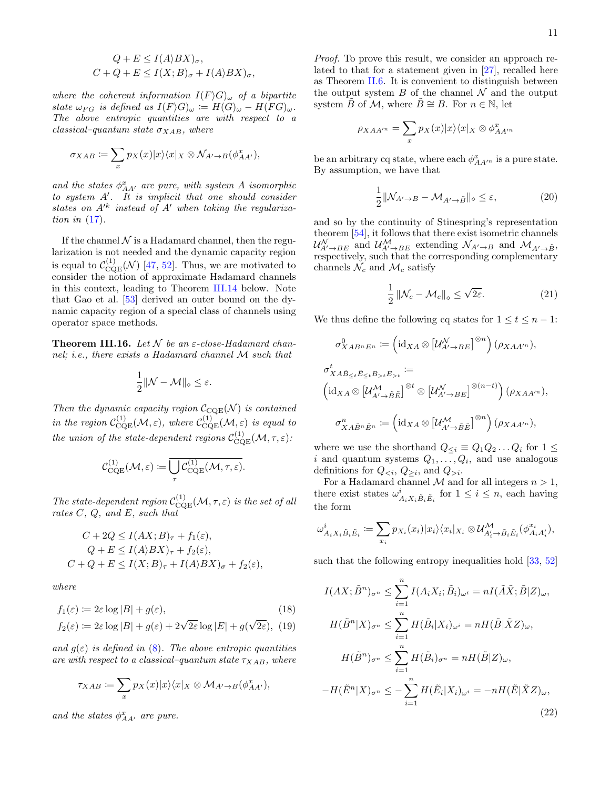$$
Q + E \le I(A\rangle BX)_{\sigma},
$$
  

$$
C + Q + E \le I(X; B)_{\sigma} + I(A\rangle BX)_{\sigma},
$$

where the coherent information  $I(F \rangle G)_{\omega}$  of a bipartite state  $\omega_{FG}$  is defined as  $I(F\backslash G)_{\omega} := H(G)_{\omega} - H(FG)_{\omega}$ . The above entropic quantities are with respect to a  $classical-quantum state \sigma_{XAB}$ , where

$$
\sigma_{XAB} := \sum_{x} p_X(x) |x\rangle\langle x|_X \otimes \mathcal{N}_{A' \to B}(\phi^x_{AA'}),
$$

and the states  $\phi_{AA'}^x$  are pure, with system A isomorphic to system  $A'$ . It is implicit that one should consider states on  $A'^k$  instead of  $A'$  when taking the regularization in [\(17\)](#page-11-3).

If the channel  $\mathcal N$  is a Hadamard channel, then the regularization is not needed and the dynamic capacity region is equal to  $\mathcal{C}_{\text{CQE}}^{(1)}(\mathcal{N})$  [\[47,](#page-24-20) [52\]](#page-24-21). Thus, we are motivated to consider the notion of approximate Hadamard channels in this context, leading to Theorem [III.14](#page-11-0) below. Note that Gao et al. [\[53\]](#page-24-24) derived an outer bound on the dynamic capacity region of a special class of channels using operator space methods.

<span id="page-12-0"></span>**Theorem III.16.** Let N be an  $\varepsilon$ -close-Hadamard channel; i.e., there exists a Hadamard channel M such that

$$
\frac{1}{2} \|\mathcal{N} - \mathcal{M}\|_{\diamond} \leq \varepsilon.
$$

Then the dynamic capacity region  $C_{\text{CQE}}(\mathcal{N})$  is contained in the region  $\mathcal{C}_{\text{CQE}}^{(1)}(\mathcal{M},\varepsilon)$ , where  $\mathcal{C}_{\text{CQE}}^{(1)}(\mathcal{M},\varepsilon)$  is equal to the union of the state-dependent regions  $\mathcal{C}_{\mathrm{CQE}}^{(1)}(\mathcal{M}, \tau, \varepsilon)$ :

$$
\mathcal{C}_{\mathrm{CQE}}^{(1)}(\mathcal{M},\varepsilon)\coloneqq\overline{\bigcup_{\tau}\mathcal{C}_{\mathrm{CQE}}^{(1)}(\mathcal{M},\tau,\varepsilon)}.
$$

The state-dependent region  $C^{(1)}_{\text{CQE}}(\mathcal{M}, \tau, \varepsilon)$  is the set of all rates C, Q, and E, such that

$$
C + 2Q \le I(AX; B)_{\tau} + f_1(\varepsilon),
$$
  
\n
$$
Q + E \le I(A \rangle BX)_{\tau} + f_2(\varepsilon),
$$
  
\n
$$
C + Q + E \le I(X; B)_{\tau} + I(A \rangle BX)_{\sigma} + f_2(\varepsilon),
$$

where

$$
f_1(\varepsilon) := 2\varepsilon \log |B| + g(\varepsilon), \tag{18}
$$
  
\n
$$
f_2(\varepsilon) := 2\varepsilon \log |B| + g(\varepsilon) + 2\sqrt{2\varepsilon} \log |E| + g(\sqrt{2\varepsilon}), \tag{19}
$$

$$
f_2(\varepsilon) := 2\varepsilon \log |B| + g(\varepsilon) + 2\sqrt{2\varepsilon} \log |E| + g(\sqrt{2\varepsilon}), \tag{19}
$$

and  $q(\varepsilon)$  is defined in [\(8\)](#page-7-4). The above entropic quantities are with respect to a classical–quantum state  $\tau_{XAB}$ , where

$$
\tau_{XAB} := \sum_{x} p_X(x)|x\rangle\langle x|_X \otimes \mathcal{M}_{A' \to B}(\phi^x_{AA'}),
$$

and the states  $\phi_{AA'}^x$  are pure.

Proof. To prove this result, we consider an approach related to that for a statement given in [\[27\]](#page-24-0), recalled here as Theorem [II.6.](#page-7-5) It is convenient to distinguish between the output system  $B$  of the channel  $\mathcal N$  and the output system B of M, where  $B \cong B$ . For  $n \in \mathbb{N}$ , let

$$
\rho_{XAA'^n} = \sum_x p_X(x) |x\rangle\langle x|_X \otimes \phi^x_{AA'^n}
$$

be an arbitrary cq state, where each  $\phi^x_{AA'^n}$  is a pure state. By assumption, we have that

$$
\frac{1}{2} \|\mathcal{N}_{A' \to B} - \mathcal{M}_{A' \to \tilde{B}}\|_{\diamond} \le \varepsilon,\tag{20}
$$

and so by the continuity of Stinespring's representation theorem [\[54\]](#page-24-25), it follows that there exist isometric channels  $\mathcal{U}_{A'\to BE}^{\mathcal{N}}$  and  $\mathcal{U}_{A'\to BE}^{\mathcal{M}}$  extending  $\mathcal{N}_{A'\to B}$  and  $\mathcal{M}_{A'\to \tilde{B}}$ , respectively, such that the corresponding complementary channels  $\mathcal{N}_c$  and  $\mathcal{M}_c$  satisfy

<span id="page-12-3"></span><span id="page-12-2"></span>
$$
\frac{1}{2} \left\| \mathcal{N}_c - \mathcal{M}_c \right\|_{\diamond} \le \sqrt{2\varepsilon}.\tag{21}
$$

We thus define the following cq states for  $1 \le t \le n - 1$ :

$$
\sigma_{XAB^nE^n}^0 := \left(\mathrm{id}_{XA} \otimes \left[\mathcal{U}_{A' \to BE}^{\mathcal{N}}\right]^{\otimes n}\right)(\rho_{XAA'^n}),
$$
\n
$$
\sigma_{XA\tilde{B}_{\leq t}\tilde{E}_{\leq t}B_{>t}E_{>t}}^t :=
$$
\n
$$
\left(\mathrm{id}_{XA} \otimes \left[\mathcal{U}_{A' \to \tilde{B}\tilde{E}}^{\mathcal{M}}\right]^{\otimes t} \otimes \left[\mathcal{U}_{A' \to BE}^{\mathcal{N}}\right]^{\otimes (n-t)}\right)(\rho_{XAA'^n}),
$$
\n
$$
\sigma_{XA\tilde{B}^n\tilde{E}^n}^n := \left(\mathrm{id}_{XA} \otimes \left[\mathcal{U}_{A' \to \tilde{B}\tilde{E}}^{\mathcal{M}}\right]^{\otimes n}\right)(\rho_{XAA'^n}),
$$

where we use the shorthand  $Q_{\leq i} \equiv Q_1 Q_2 \ldots Q_i$  for  $1 \leq$ i and quantum systems  $Q_1, \ldots, Q_i$ , and use analogous definitions for  $Q_{\leq i}, Q_{\geq i}$ , and  $Q_{> i}$ .

For a Hadamard channel  $M$  and for all integers  $n > 1$ , there exist states  $\omega^i_{A_i X_i \tilde{B}_i \tilde{E}_i}$  for  $1 \leq i \leq n$ , each having the form

$$
\omega^i_{A_i X_i \tilde{B}_i \tilde{E}_i} \coloneqq \sum_{x_i} p_{X_i}(x_i) |x_i\rangle\langle x_i|_{X_i} \otimes \mathcal{U}^{\mathcal{M}}_{A_i' \to \tilde{B}_i \tilde{E}_i}(\phi^{x_i}_{A_i A_i'}),
$$

such that the following entropy inequalities hold [\[33,](#page-24-6) [52\]](#page-24-21)

<span id="page-12-4"></span><span id="page-12-1"></span>
$$
I(AX; \tilde{B}^n)_{\sigma^n} \leq \sum_{i=1}^n I(A_i X_i; \tilde{B}_i)_{\omega^i} = nI(\tilde{A}\tilde{X}; \tilde{B}|Z)_{\omega},
$$
  
\n
$$
H(\tilde{B}^n | X)_{\sigma^n} \leq \sum_{i=1}^n H(\tilde{B}_i | X_i)_{\omega^i} = nH(\tilde{B} | \tilde{X} Z)_{\omega},
$$
  
\n
$$
H(\tilde{B}^n)_{\sigma^n} \leq \sum_{i=1}^n H(\tilde{B}_i)_{\sigma^n} = nH(\tilde{B}|Z)_{\omega},
$$
  
\n
$$
-H(\tilde{E}^n | X)_{\sigma^n} \leq -\sum_{i=1}^n H(\tilde{E}_i | X_i)_{\omega^i} = -nH(\tilde{E} | \tilde{X} Z)_{\omega},
$$
  
\n(22)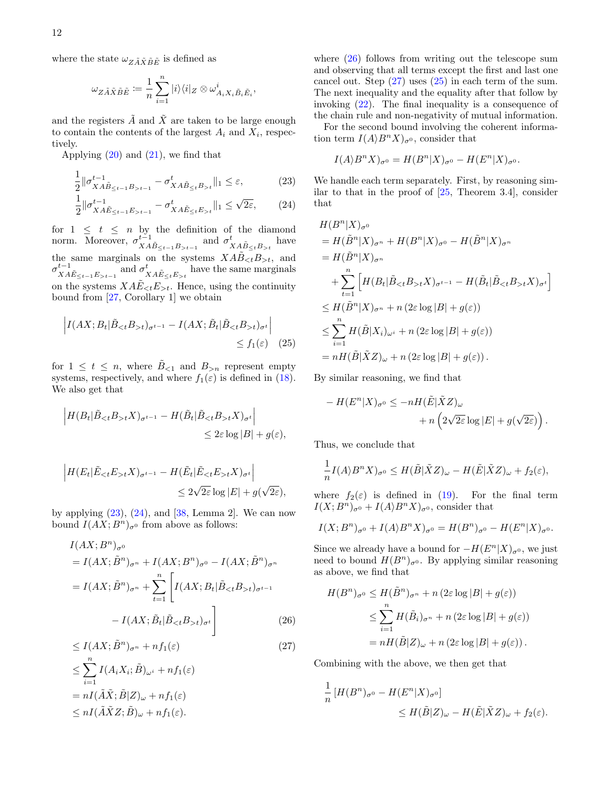where the state  $\omega_{Z\tilde{A}\tilde{X}\tilde{B}\tilde{E}}$  is defined as

$$
\omega_{Z\tilde{A}\tilde{X}\tilde{B}\tilde{E}} := \frac{1}{n} \sum_{i=1}^{n} |i\rangle\langle i|_{Z} \otimes \omega_{A_{i}X_{i}\tilde{B}_{i}\tilde{E}_{i}}^{i},
$$

and the registers  $\tilde{A}$  and  $\tilde{X}$  are taken to be large enough to contain the contents of the largest  $A_i$  and  $X_i$ , respectively.

Applying  $(20)$  and  $(21)$ , we find that

$$
\frac{1}{2} \|\sigma_{XA\tilde{B}_{\leq t-1}B_{>t-1}}^{t-1} - \sigma_{XA\tilde{B}_{\leq t}B_{>t}}^{t} \|_{1} \leq \varepsilon,
$$
\n(23)

$$
\frac{1}{2} \|\sigma_{XA\tilde{E}_{\leq t-1}E_{>t-1}}^{t-1} - \sigma_{XA\tilde{E}_{\leq t}E_{>t}}^{t} \|_{1} \leq \sqrt{2\varepsilon}, \qquad (24)
$$

for  $1 \leq t \leq n$  by the definition of the diamond norm. Moreover,  $\sigma_{XA\tilde{B}_{\leq t-1}B_{>t-1}}^{t-1}$  and  $\sigma_{XA\tilde{B}_{\leq t}B_{>t}}^{t}$  have the same marginals on the systems  $X \tilde{A} \tilde{B}_{\lt t} B_{\gt t}$ , and  $\sigma_{XA\tilde{E}_{\leq t-1}E_{>t-1}}^{t-1}$  and  $\sigma_{XA\tilde{E}_{\leq t}E_{>t}}^{t}$  have the same marginals on the systems  $XA\tilde{E}_{\leq t}E_{\geq t}$ . Hence, using the continuity bound from [\[27,](#page-24-0) Corollary 1] we obtain

$$
\left| I(AX; B_t | \tilde{B}_{< t} B_{> t})_{\sigma^{t-1}} - I(AX; \tilde{B}_t | \tilde{B}_{< t} B_{> t})_{\sigma^t} \right| \le f_1(\varepsilon) \quad (25)
$$

for  $1 \leq t \leq n$ , where  $\tilde{B}_{\leq 1}$  and  $B_{>n}$  represent empty systems, respectively, and where  $f_1(\varepsilon)$  is defined in [\(18\)](#page-11-4). We also get that

$$
\left| H(B_t | \tilde{B}_{< t} B_{> t} X)_{\sigma^{t-1}} - H(\tilde{B}_t | \tilde{B}_{< t} B_{> t} X)_{\sigma^t} \right|
$$
  

$$
\leq 2\varepsilon \log |B| + g(\varepsilon),
$$

$$
\left| H(E_t | \tilde{E}_{\leq t} E_{> t} X)_{\sigma^{t-1}} - H(\tilde{E}_t | \tilde{E}_{\leq t} E_{> t} X)_{\sigma^t} \right|
$$
  

$$
\leq 2\sqrt{2\varepsilon} \log |E| + g(\sqrt{2\varepsilon}),
$$

by applying  $(23)$ ,  $(24)$ , and  $[38]$ , Lemma 2. We can now bound  $I(AX; B<sup>n</sup>)<sub>\sigma</sub>$ <sup>0</sup> from above as follows:

$$
I(AX; B^n)_{\sigma^0}
$$
  
=  $I(AX; \tilde{B}^n)_{\sigma^n} + I(AX; B^n)_{\sigma^0} - I(AX; \tilde{B}^n)_{\sigma^n}$   
=  $I(AX; \tilde{B}^n)_{\sigma^n} + \sum_{t=1}^n \left[ I(AX; B_t | \tilde{B}_{< t} B_{> t})_{\sigma^{t-1}} - I(AX; \tilde{B}_t | \tilde{B}_{< t} B_{> t})_{\sigma^t} \right]$   
 $\leq I(AX; \tilde{B}^n)_{\sigma^n} + nf_1(\varepsilon)$  (27)

$$
\leq \sum_{i=1}^{n} I(A_i X_i; \tilde{B})_{\omega^i} + n f_1(\varepsilon)
$$
  
= 
$$
n I(\tilde{A}\tilde{X}; \tilde{B}|Z)_{\omega} + n f_1(\varepsilon)
$$
  

$$
\leq n I(\tilde{A}\tilde{X}Z; \tilde{B})_{\omega} + n f_1(\varepsilon).
$$

<span id="page-13-0"></span>where  $(26)$  follows from writing out the telescope sum and observing that all terms except the first and last one cancel out. Step  $(27)$  uses  $(25)$  in each term of the sum. The next inequality and the equality after that follow by invoking [\(22\)](#page-12-3). The final inequality is a consequence of the chain rule and non-negativity of mutual information.

For the second bound involving the coherent information term  $I(A\rangle B^n X)_{\sigma^0}$ , consider that

$$
I(A\rangle B^{n}X)_{\sigma^{0}} = H(B^{n}|X)_{\sigma^{0}} - H(E^{n}|X)_{\sigma^{0}}.
$$

<span id="page-13-1"></span>We handle each term separately. First, by reasoning similar to that in the proof of  $[25,$  Theorem 3.4, consider that

$$
H(B^n|X)_{\sigma^0}
$$
  
=  $H(\tilde{B}^n|X)_{\sigma^n} + H(B^n|X)_{\sigma^0} - H(\tilde{B}^n|X)_{\sigma^n}$   
=  $H(\tilde{B}^n|X)_{\sigma^n}$   
+  $\sum_{t=1}^n \left[ H(B_t|\tilde{B}_{<};B_{>t}X)_{\sigma^{t-1}} - H(\tilde{B}_t|\tilde{B}_{t}X)_{\sigma^t} \right]$   
 $\leq H(\tilde{B}^n|X)_{\sigma^n} + n(2\varepsilon \log |B| + g(\varepsilon))$   
 $\leq \sum_{i=1}^n H(\tilde{B}|X_i)_{\omega^i} + n(2\varepsilon \log |B| + g(\varepsilon))$   
=  $nH(\tilde{B}|\tilde{X}Z)_{\omega} + n(2\varepsilon \log |B| + g(\varepsilon)).$ 

<span id="page-13-4"></span>By similar reasoning, we find that

$$
- H(E^n|X)_{\sigma^0} \le -nH(\tilde{E}|\tilde{X}Z)_{\omega}
$$

$$
+ n\left(2\sqrt{2\varepsilon}\log|E| + g(\sqrt{2\varepsilon})\right).
$$

Thus, we conclude that

$$
\frac{1}{n}I(A\rangle B^nX)_{\sigma^0} \le H(\tilde{B}|\tilde{X}Z)_{\omega} - H(\tilde{E}|\tilde{X}Z)_{\omega} + f_2(\varepsilon),
$$

where  $f_2(\varepsilon)$  is defined in [\(19\)](#page-12-4). For the final term  $I(X; B<sup>n</sup>)<sub>\sigma</sub>$ <sup>0</sup> +  $I(A\rangle B<sup>n</sup>X)_{\sigma}$ <sup>0</sup>, consider that

$$
I(X;Bn)\sigmao + I(A\rangle BnX)\sigmao = H(Bn)\sigmao - H(En|X)\sigmao.
$$

Since we already have a bound for  $-H(E^{n}|X)_{\sigma^{0}}$ , we just need to bound  $H(B^n)_{\sigma^0}$ . By applying similar reasoning as above, we find that

<span id="page-13-2"></span>
$$
H(B^n)_{\sigma^0} \leq H(\tilde{B}^n)_{\sigma^n} + n (2\varepsilon \log |B| + g(\varepsilon))
$$
  
\n
$$
\leq \sum_{i=1}^n H(\tilde{B}_i)_{\sigma^n} + n (2\varepsilon \log |B| + g(\varepsilon))
$$
  
\n
$$
= nH(\tilde{B}|Z)_{\omega} + n (2\varepsilon \log |B| + g(\varepsilon)).
$$

<span id="page-13-3"></span>Combining with the above, we then get that

$$
\frac{1}{n} [H(B^n)_{\sigma^0} - H(E^n|X)_{\sigma^0}]
$$
  
\n
$$
\leq H(\tilde{B}|Z)_{\omega} - H(\tilde{E}|\tilde{X}Z)_{\omega} + f_2(\varepsilon).
$$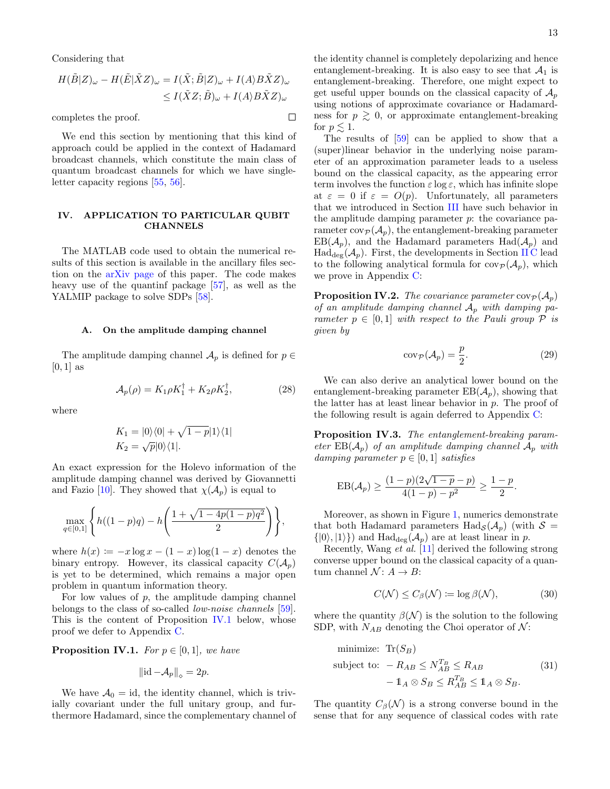Considering that

$$
H(\tilde{B}|Z)_{\omega} - H(\tilde{E}|\tilde{X}Z)_{\omega} = I(\tilde{X}; \tilde{B}|Z)_{\omega} + I(A \rangle B \tilde{X}Z)_{\omega}
$$
  

$$
\leq I(\tilde{X}Z; \tilde{B})_{\omega} + I(A \rangle B \tilde{X}Z)_{\omega}
$$

 $\Box$ 

completes the proof.

We end this section by mentioning that this kind of approach could be applied in the context of Hadamard broadcast channels, which constitute the main class of quantum broadcast channels for which we have singleletter capacity regions [\[55,](#page-24-26) [56\]](#page-24-27).

#### <span id="page-14-1"></span>IV. APPLICATION TO PARTICULAR QUBIT **CHANNELS**

The MATLAB code used to obtain the numerical results of this section is available in the ancillary files section on the [arXiv page](https://arxiv.org/abs/1709.01111) of this paper. The code makes heavy use of the quantinf package [\[57\]](#page-24-28), as well as the YALMIP package to solve SDPs [\[58\]](#page-24-29).

#### A. On the amplitude damping channel

The amplitude damping channel  $\mathcal{A}_p$  is defined for  $p \in$  $[0, 1]$  as

$$
\mathcal{A}_p(\rho) = K_1 \rho K_1^\dagger + K_2 \rho K_2^\dagger,\tag{28}
$$

where

$$
K_1 = |0\rangle\langle 0| + \sqrt{1-p}|1\rangle\langle 1|
$$
  

$$
K_2 = \sqrt{p}|0\rangle\langle 1|.
$$

An exact expression for the Holevo information of the amplitude damping channel was derived by Giovannetti and Fazio [\[10\]](#page-23-9). They showed that  $\chi(\mathcal{A}_p)$  is equal to

$$
\max_{q \in [0,1]} \left\{ h((1-p)q) - h\left(\frac{1+\sqrt{1-4p(1-p)q^2}}{2}\right) \right\},\,
$$

where  $h(x) := -x \log x - (1-x) \log(1-x)$  denotes the binary entropy. However, its classical capacity  $C(\mathcal{A}_p)$ is yet to be determined, which remains a major open problem in quantum information theory.

For low values of  $p$ , the amplitude damping channel belongs to the class of so-called *low-noise channels* [\[59\]](#page-24-30). This is the content of Proposition [IV.1](#page-14-2) below, whose proof we defer to Appendix [C.](#page-20-0)

<span id="page-14-2"></span>**Proposition IV.1.** For  $p \in [0,1]$ , we have

$$
\|\mathrm{id} - \mathcal{A}_p\|_{\diamond} = 2p.
$$

We have  $A_0 = id$ , the identity channel, which is trivially covariant under the full unitary group, and furthermore Hadamard, since the complementary channel of the identity channel is completely depolarizing and hence entanglement-breaking. It is also easy to see that  $\mathcal{A}_1$  is entanglement-breaking. Therefore, one might expect to get useful upper bounds on the classical capacity of  $\mathcal{A}_p$ using notions of approximate covariance or Hadamardness for  $p \geq 0$ , or approximate entanglement-breaking for  $p \leq 1$ .

The results of [\[59\]](#page-24-30) can be applied to show that a (super)linear behavior in the underlying noise parameter of an approximation parameter leads to a useless bound on the classical capacity, as the appearing error term involves the function  $\varepsilon \log \varepsilon$ , which has infinite slope at  $\varepsilon = 0$  if  $\varepsilon = O(p)$ . Unfortunately, all parameters that we introduced in Section [III](#page-7-2) have such behavior in the amplitude damping parameter  $p$ : the covariance parameter  $cov_{\mathcal{P}}(\mathcal{A}_n)$ , the entanglement-breaking parameter  $EB(\mathcal{A}_n)$ , and the Hadamard parameters  $Had(\mathcal{A}_n)$  and  $\text{Had}_{\text{dec}}(\mathcal{A}_p)$ . First, the developments in Section [II C](#page-4-2) lead to the following analytical formula for  $cov_{\mathcal{P}}(\mathcal{A}_p)$ , which we prove in Appendix [C:](#page-20-0)

<span id="page-14-0"></span>**Proposition IV.2.** The covariance parameter  $cov_{\mathcal{P}}(\mathcal{A}_p)$ of an amplitude damping channel  $A_p$  with damping parameter  $p \in [0, 1]$  with respect to the Pauli group  $P$  is given by

<span id="page-14-6"></span>
$$
cov_{\mathcal{P}}(\mathcal{A}_p) = \frac{p}{2}.
$$
 (29)

<span id="page-14-5"></span><span id="page-14-3"></span>.

<span id="page-14-4"></span>We can also derive an analytical lower bound on the entanglement-breaking parameter  $EB(\mathcal{A}_n)$ , showing that the latter has at least linear behavior in  $p$ . The proof of the following result is again deferred to Appendix [C:](#page-20-0)

<span id="page-14-7"></span>Proposition IV.3. The entanglement-breaking parameter  $EB(\mathcal{A}_p)$  of an amplitude damping channel  $\mathcal{A}_p$  with damping parameter  $p \in [0, 1]$  satisfies

$$
EB(\mathcal{A}_p) \ge \frac{(1-p)(2\sqrt{1-p} - p)}{4(1-p) - p^2} \ge \frac{1-p}{2}
$$

Moreover, as shown in Figure [1,](#page-15-0) numerics demonstrate that both Hadamard parameters  $\text{Had}_{\mathcal{S}}(\mathcal{A}_p)$  (with  $\mathcal{S} =$  $\{|0\rangle, |1\rangle\}$  and Had<sub>deg</sub>( $\mathcal{A}_p$ ) are at least linear in p.

Recently, Wang et al. [\[11\]](#page-23-10) derived the following strong converse upper bound on the classical capacity of a quantum channel  $\mathcal{N}: A \rightarrow B$ :

$$
C(\mathcal{N}) \le C_{\beta}(\mathcal{N}) \coloneqq \log \beta(\mathcal{N}),\tag{30}
$$

where the quantity  $\beta(\mathcal{N})$  is the solution to the following SDP, with  $N_{AB}$  denoting the Choi operator of  $\mathcal{N}$ :

minimize: 
$$
\text{Tr}(S_B)
$$
  
subject to:  $-R_{AB} \le N_{AB}^{T_B} \le R_{AB}$  (31)  
 $- \mathbb{1}_A \otimes S_B \le R_{AB}^{T_B} \le \mathbb{1}_A \otimes S_B$ .

The quantity  $C_{\beta}(\mathcal{N})$  is a strong converse bound in the sense that for any sequence of classical codes with rate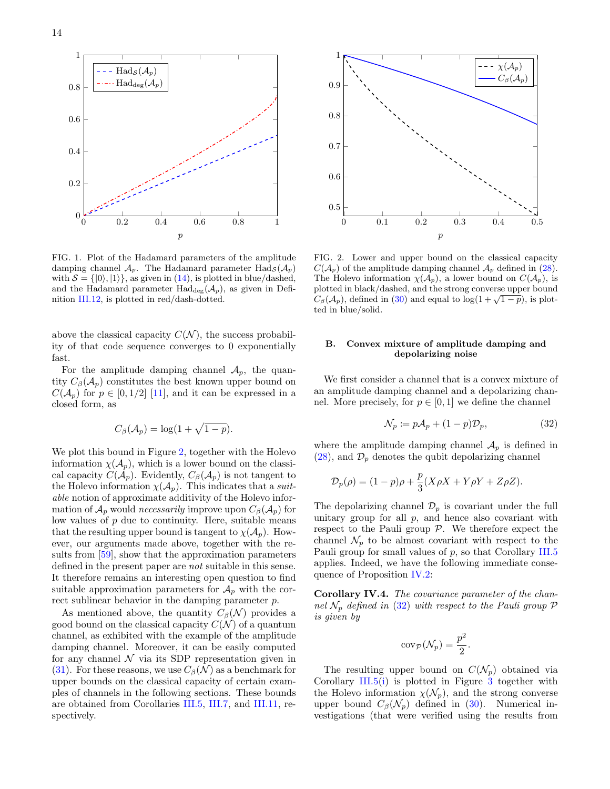

<span id="page-15-0"></span>FIG. 1. Plot of the Hadamard parameters of the amplitude damping channel  $A_p$ . The Hadamard parameter Had<sub>S</sub> $(A_p)$ with  $S = \{|0\rangle, |1\rangle\}$ , as given in [\(14\)](#page-10-8), is plotted in blue/dashed, and the Hadamard parameter  $\text{Had}_{\text{deg}}(\mathcal{A}_p)$ , as given in Definition [III.12,](#page-11-2) is plotted in red/dash-dotted.

above the classical capacity  $C(\mathcal{N})$ , the success probability of that code sequence converges to 0 exponentially fast.

For the amplitude damping channel  $A_p$ , the quantity  $C_{\beta}(\mathcal{A}_p)$  constitutes the best known upper bound on  $C(\mathcal{A}_p)$  for  $p \in [0, 1/2]$  [\[11\]](#page-23-10), and it can be expressed in a closed form, as

$$
C_{\beta}(\mathcal{A}_p) = \log(1 + \sqrt{1 - p}).
$$

We plot this bound in Figure [2,](#page-15-1) together with the Holevo information  $\chi(\mathcal{A}_p)$ , which is a lower bound on the classical capacity  $C(\mathcal{A}_p)$ . Evidently,  $C_\beta(\mathcal{A}_p)$  is not tangent to the Holevo information  $\chi(\mathcal{A}_p)$ . This indicates that a *suit*able notion of approximate additivity of the Holevo information of  $\mathcal{A}_p$  would *necessarily* improve upon  $C_\beta(\mathcal{A}_p)$  for low values of  $p$  due to continuity. Here, suitable means that the resulting upper bound is tangent to  $\chi(\mathcal{A}_n)$ . However, our arguments made above, together with the results from [\[59\]](#page-24-30), show that the approximation parameters defined in the present paper are not suitable in this sense. It therefore remains an interesting open question to find suitable approximation parameters for  $A_p$  with the correct sublinear behavior in the damping parameter p.

As mentioned above, the quantity  $C_{\beta}(\mathcal{N})$  provides a good bound on the classical capacity  $C(\mathcal{N})$  of a quantum channel, as exhibited with the example of the amplitude damping channel. Moreover, it can be easily computed for any channel  $\mathcal N$  via its SDP representation given in [\(31\)](#page-14-3). For these reasons, we use  $C_{\beta}(\mathcal{N})$  as a benchmark for upper bounds on the classical capacity of certain examples of channels in the following sections. These bounds are obtained from Corollaries [III.5,](#page-9-0) [III.7,](#page-9-1) and [III.11,](#page-10-0) respectively.



<span id="page-15-1"></span>FIG. 2. Lower and upper bound on the classical capacity  $C(\mathcal{A}_p)$  of the amplitude damping channel  $\mathcal{A}_p$  defined in [\(28\)](#page-14-4). The Holevo information  $\chi(\mathcal{A}_p)$ , a lower bound on  $C(\mathcal{A}_p)$ , is plotted in black/dashed, and the strong converse upper bound plotted in black/dashed, and the strong converse upper bound<br> $C_{\beta}(\mathcal{A}_p)$ , defined in [\(30\)](#page-14-5) and equal to log( $1 + \sqrt{1-p}$ ), is plotted in blue/solid.

#### B. Convex mixture of amplitude damping and depolarizing noise

We first consider a channel that is a convex mixture of an amplitude damping channel and a depolarizing channel. More precisely, for  $p \in [0, 1]$  we define the channel

<span id="page-15-2"></span>
$$
\mathcal{N}_p \coloneqq p\mathcal{A}_p + (1 - p)\mathcal{D}_p,\tag{32}
$$

where the amplitude damping channel  $A_p$  is defined in  $(28)$ , and  $\mathcal{D}_p$  denotes the qubit depolarizing channel

$$
\mathcal{D}_p(\rho) = (1 - p)\rho + \frac{p}{3}(X\rho X + Y\rho Y + Z\rho Z).
$$

The depolarizing channel  $\mathcal{D}_p$  is covariant under the full unitary group for all  $p$ , and hence also covariant with respect to the Pauli group  $P$ . We therefore expect the channel  $\mathcal{N}_p$  to be almost covariant with respect to the Pauli group for small values of p, so that Corollary [III.5](#page-9-0) applies. Indeed, we have the following immediate consequence of Proposition [IV.2:](#page-14-0)

Corollary IV.4. The covariance parameter of the channel  $\mathcal{N}_p$  defined in [\(32\)](#page-15-2) with respect to the Pauli group  $\mathcal P$ is given by

$$
\mathrm{cov}_{\mathcal{P}}(\mathcal{N}_p) = \frac{p^2}{2}
$$

.

The resulting upper bound on  $C(\mathcal{N}_p)$  obtained via Corollary [III.5\(](#page-9-0)[i\)](#page-9-5) is plotted in Figure [3](#page-16-1) together with the Holevo information  $\chi(\mathcal{N}_p)$ , and the strong converse upper bound  $C_{\beta}(\mathcal{N}_p)$  defined in [\(30\)](#page-14-5). Numerical investigations (that were verified using the results from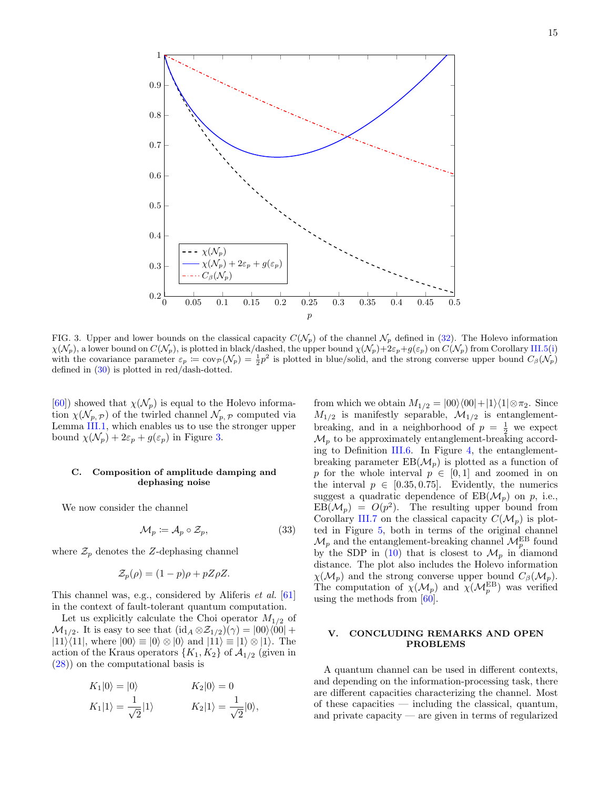

<span id="page-16-1"></span>FIG. 3. Upper and lower bounds on the classical capacity  $C(\mathcal{N}_p)$  of the channel  $\mathcal{N}_p$  defined in [\(32\)](#page-15-2). The Holevo information  $\chi(\mathcal{N}_p)$ , a lower bound on  $C(\mathcal{N}_p)$ , is plotted in black/dashed, the upper bound  $\chi(\mathcal{N}_p)+2\varepsilon_p+g(\varepsilon_p)$  on  $C(\mathcal{N}_p)$  from Corollary [III.5](#page-9-0)[\(i\)](#page-9-5) with the covariance parameter  $\varepsilon_p := \text{cov}_{\mathcal{P}}(\mathcal{N}_p) = \frac{1}{2}p^2$  is plotted in blue/solid, and the strong converse upper bound  $C_{\beta}(\mathcal{N}_p)$ defined in  $(30)$  is plotted in red/dash-dotted.

 $[60]$ ) showed that  $\chi(\mathcal{N}_p)$  is equal to the Holevo information  $\chi(\mathcal{N}_{p}, p)$  of the twirled channel  $\mathcal{N}_{p}, p$  computed via Lemma [III.1,](#page-7-6) which enables us to use the stronger upper bound  $\chi(\mathcal{N}_p) + 2\varepsilon_p + g(\varepsilon_p)$  in Figure [3.](#page-16-1)

#### C. Composition of amplitude damping and dephasing noise

We now consider the channel

$$
\mathcal{M}_p \coloneqq \mathcal{A}_p \circ \mathcal{Z}_p,\tag{33}
$$

where  $\mathcal{Z}_p$  denotes the Z-dephasing channel

$$
\mathcal{Z}_p(\rho) = (1 - p)\rho + pZ\rho Z.
$$

This channel was, e.g., considered by Aliferis et al. [\[61\]](#page-24-32) in the context of fault-tolerant quantum computation.

Let us explicitly calculate the Choi operator  $M_{1/2}$  of  $\mathcal{M}_{1/2}$ . It is easy to see that  $(id_A \otimes \mathcal{Z}_{1/2})(\gamma) = |00\rangle\langle00| +$  $|11\rangle\langle11|$ , where  $|00\rangle \equiv |0\rangle \otimes |0\rangle$  and  $|11\rangle \equiv |1\rangle \otimes |1\rangle$ . The action of the Kraus operators  $\{K_1, K_2\}$  of  $\mathcal{A}_{1/2}$  (given in [\(28\)](#page-14-4)) on the computational basis is

$$
K_1|0\rangle = |0\rangle
$$
  
\n
$$
K_1|1\rangle = \frac{1}{\sqrt{2}}|1\rangle
$$
  
\n
$$
K_2|0\rangle = 0
$$
  
\n
$$
K_2|1\rangle = \frac{1}{\sqrt{2}}|0\rangle,
$$

from which we obtain  $M_{1/2} = |00\rangle\langle00|+|1\rangle\langle1|\otimes\pi_2$ . Since  $M_{1/2}$  is manifestly separable,  $M_{1/2}$  is entanglementbreaking, and in a neighborhood of  $p = \frac{1}{2}$  we expect  $\mathcal{M}_p$  to be approximately entanglement-breaking according to Definition [III.6.](#page-9-3) In Figure [4,](#page-17-0) the entanglementbreaking parameter  $EB(\mathcal{M}_n)$  is plotted as a function of p for the whole interval  $p \in [0,1]$  and zoomed in on the interval  $p \in [0.35, 0.75]$ . Evidently, the numerics suggest a quadratic dependence of  $EB(\mathcal{M}_p)$  on p, i.e.,  $EB(\mathcal{M}_p) = O(p^2)$ . The resulting upper bound from Corollary [III.7](#page-9-1) on the classical capacity  $C(\mathcal{M}_p)$  is plotted in Figure [5,](#page-17-1) both in terms of the original channel  $\mathcal{M}_p$  and the entanglement-breaking channel  $\mathcal{M}_p^{\text{EB}}$  found by the SDP in [\(10\)](#page-9-4) that is closest to  $\mathcal{M}_p$  in diamond distance. The plot also includes the Holevo information  $\chi(\mathcal{M}_p)$  and the strong converse upper bound  $C_\beta(\mathcal{M}_p)$ . The computation of  $\chi(\mathcal{M}_p)$  and  $\chi(\mathcal{M}_p^{\text{EB}})$  was verified using the methods from [\[60\]](#page-24-31).

#### <span id="page-16-2"></span><span id="page-16-0"></span>V. CONCLUDING REMARKS AND OPEN PROBLEMS

A quantum channel can be used in different contexts, and depending on the information-processing task, there are different capacities characterizing the channel. Most of these capacities — including the classical, quantum, and private capacity — are given in terms of regularized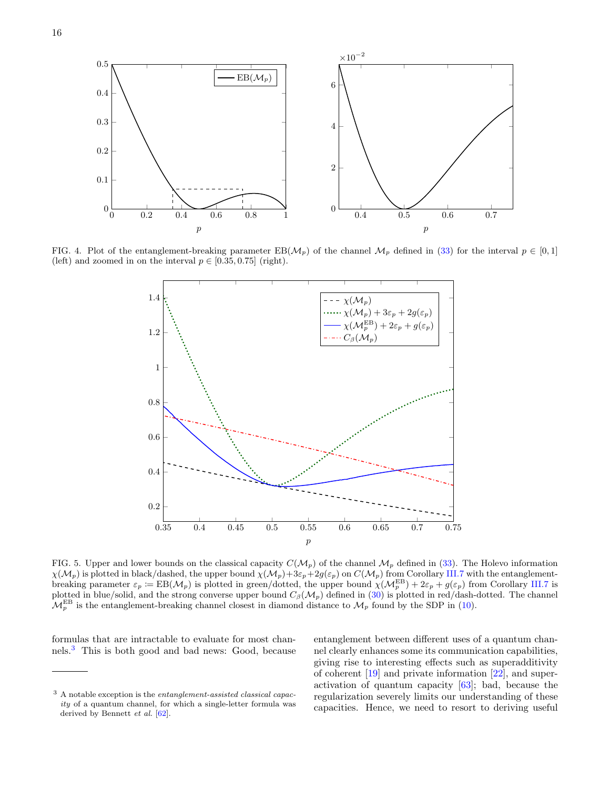



<span id="page-17-0"></span>FIG. 4. Plot of the entanglement-breaking parameter  $EB(\mathcal{M}_p)$  of the channel  $\mathcal{M}_p$  defined in [\(33\)](#page-16-2) for the interval  $p \in [0,1]$ (left) and zoomed in on the interval  $p \in [0.35, 0.75]$  (right).



<span id="page-17-1"></span>FIG. 5. Upper and lower bounds on the classical capacity  $C(\mathcal{M}_p)$  of the channel  $\mathcal{M}_p$  defined in [\(33\)](#page-16-2). The Holevo information  $\chi(\mathcal{M}_p)$  is plotted in black/dashed, the upper bound  $\chi(\mathcal{M}_p)+3\varepsilon_p+2g(\varepsilon_p)$  on  $C(\mathcal{M}_p)$  from Corollary [III.7](#page-9-1) with the entanglementbreaking parameter  $\varepsilon_p = \text{EB}(\mathcal{M}_p)$  is plotted in green/dotted, the upper bound  $\chi(\mathcal{M}_p^{\text{EB}}) + 2\varepsilon_p + g(\varepsilon_p)$  from Corollary [III.7](#page-9-1) is plotted in blue/solid, and the strong converse upper bound  $C_{\beta}(\mathcal{M}_p)$  defined in [\(30\)](#page-14-5) is plotted in red/dash-dotted. The channel  $\mathcal{M}_p^{\text{EB}}$  is the entanglement-breaking channel closest in diamond distance to  $\mathcal{M}_p$  found by the SDP in [\(10\)](#page-9-4).

formulas that are intractable to evaluate for most channels.[3](#page-17-2) This is both good and bad news: Good, because entanglement between different uses of a quantum channel clearly enhances some its communication capabilities, giving rise to interesting effects such as superadditivity of coherent [\[19\]](#page-23-13) and private information [\[22\]](#page-23-16), and superactivation of quantum capacity [\[63\]](#page-24-34); bad, because the regularization severely limits our understanding of these capacities. Hence, we need to resort to deriving useful

<span id="page-17-2"></span><sup>3</sup> A notable exception is the entanglement-assisted classical capacity of a quantum channel, for which a single-letter formula was derived by Bennett *et al.* [\[62\]](#page-24-33).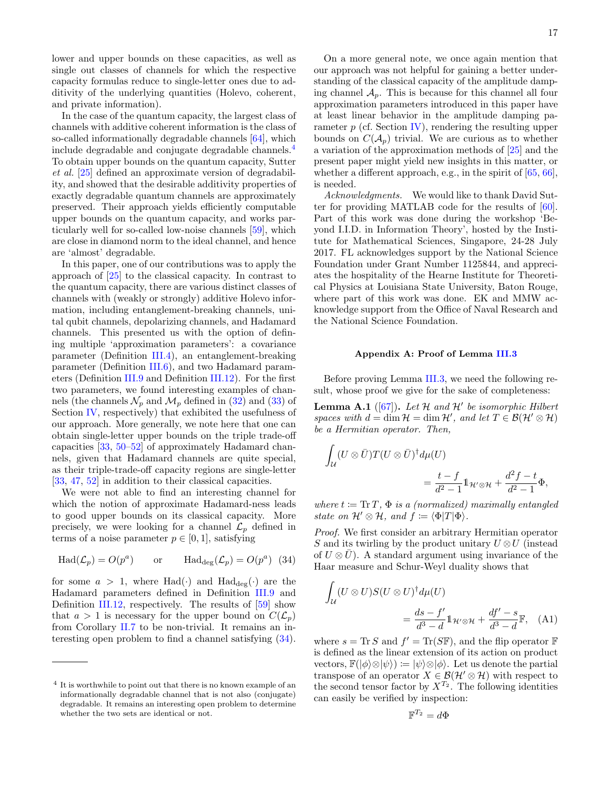lower and upper bounds on these capacities, as well as single out classes of channels for which the respective capacity formulas reduce to single-letter ones due to additivity of the underlying quantities (Holevo, coherent, and private information).

In the case of the quantum capacity, the largest class of channels with additive coherent information is the class of so-called informationally degradable channels [\[64\]](#page-24-35), which include degradable and conjugate degradable channels.[4](#page-18-1) To obtain upper bounds on the quantum capacity, Sutter et al. [\[25\]](#page-23-19) defined an approximate version of degradability, and showed that the desirable additivity properties of exactly degradable quantum channels are approximately preserved. Their approach yields efficiently computable upper bounds on the quantum capacity, and works particularly well for so-called low-noise channels [\[59\]](#page-24-30), which are close in diamond norm to the ideal channel, and hence are 'almost' degradable.

In this paper, one of our contributions was to apply the approach of [\[25\]](#page-23-19) to the classical capacity. In contrast to the quantum capacity, there are various distinct classes of channels with (weakly or strongly) additive Holevo information, including entanglement-breaking channels, unital qubit channels, depolarizing channels, and Hadamard channels. This presented us with the option of defining multiple 'approximation parameters': a covariance parameter (Definition [III.4\)](#page-8-2), an entanglement-breaking parameter (Definition [III.6\)](#page-9-3), and two Hadamard parameters (Definition [III.9](#page-10-5) and Definition [III.12\)](#page-11-2). For the first two parameters, we found interesting examples of channels (the channels  $\mathcal{N}_p$  and  $\mathcal{M}_p$  defined in [\(32\)](#page-15-2) and [\(33\)](#page-16-2) of Section [IV,](#page-14-1) respectively) that exhibited the usefulness of our approach. More generally, we note here that one can obtain single-letter upper bounds on the triple trade-off capacities [\[33,](#page-24-6) [50](#page-24-22)[–52\]](#page-24-21) of approximately Hadamard channels, given that Hadamard channels are quite special, as their triple-trade-off capacity regions are single-letter [\[33,](#page-24-6) [47,](#page-24-20) [52\]](#page-24-21) in addition to their classical capacities.

We were not able to find an interesting channel for which the notion of approximate Hadamard-ness leads to good upper bounds on its classical capacity. More precisely, we were looking for a channel  $\mathcal{L}_p$  defined in terms of a noise parameter  $p \in [0, 1]$ , satisfying

$$
\text{Had}(\mathcal{L}_p) = O(p^a) \qquad \text{or} \qquad \text{Had}_{\text{deg}}(\mathcal{L}_p) = O(p^a) \tag{34}
$$

for some  $a > 1$ , where Had(.) and Had<sub>deg</sub>(.) are the Hadamard parameters defined in Definition [III.9](#page-10-5) and Definition [III.12,](#page-11-2) respectively. The results of [\[59\]](#page-24-30) show that  $a > 1$  is necessary for the upper bound on  $C(\mathcal{L}_n)$ from Corollary [II.7](#page-7-1) to be non-trivial. It remains an interesting open problem to find a channel satisfying [\(34\)](#page-18-2).

On a more general note, we once again mention that our approach was not helpful for gaining a better understanding of the classical capacity of the amplitude damping channel  $A_p$ . This is because for this channel all four approximation parameters introduced in this paper have at least linear behavior in the amplitude damping parameter  $p$  (cf. Section [IV\)](#page-14-1), rendering the resulting upper bounds on  $C(\mathcal{A}_n)$  trivial. We are curious as to whether a variation of the approximation methods of [\[25\]](#page-23-19) and the present paper might yield new insights in this matter, or whether a different approach, e.g., in the spirit of [\[65,](#page-24-36) [66\]](#page-24-37), is needed.

Acknowledgments. We would like to thank David Sutter for providing MATLAB code for the results of [\[60\]](#page-24-31). Part of this work was done during the workshop 'Beyond I.I.D. in Information Theory', hosted by the Institute for Mathematical Sciences, Singapore, 24-28 July 2017. FL acknowledges support by the National Science Foundation under Grant Number 1125844, and appreciates the hospitality of the Hearne Institute for Theoretical Physics at Louisiana State University, Baton Rouge, where part of this work was done. EK and MMW acknowledge support from the Office of Naval Research and the National Science Foundation.

#### <span id="page-18-0"></span>Appendix A: Proof of Lemma [III.3](#page-8-1)

Before proving Lemma [III.3,](#page-8-1) we need the following result, whose proof we give for the sake of completeness:

<span id="page-18-4"></span>**Lemma A.1** ([\[67\]](#page-24-38)). Let H and H' be isomorphic Hilbert spaces with  $d = \dim \mathcal{H} = \dim \mathcal{H}'$ , and let  $T \in \mathcal{B}(\mathcal{H}' \otimes \mathcal{H})$ be a Hermitian operator. Then,

$$
\begin{aligned} \int_{\mathcal{U}} (U \otimes \bar{U}) T(U \otimes \bar{U})^{\dagger} d\mu(U) \\ &= \frac{t-f}{d^2-1} 1_{\mathcal{H}'} \otimes \mathcal{H} + \frac{d^2f-t}{d^2-1} \Phi, \end{aligned}
$$

where  $t := \text{Tr } T$ ,  $\Phi$  is a (normalized) maximally entangled state on  $\mathcal{H}' \otimes \mathcal{H}$ , and  $f \coloneqq \langle \Phi | T | \Phi \rangle$ .

<span id="page-18-2"></span>Proof. We first consider an arbitrary Hermitian operator S and its twirling by the product unitary  $U \otimes U$  (instead) of  $U \otimes \overline{U}$ . A standard argument using invariance of the Haar measure and Schur-Weyl duality shows that

$$
\int_{\mathcal{U}} (U \otimes U) S(U \otimes U)^{\dagger} d\mu(U)
$$
\n
$$
= \frac{ds - f'}{d^3 - d} \mathbb{1}_{\mathcal{H}' \otimes \mathcal{H}} + \frac{df' - s}{d^3 - d} \mathbb{F}, \quad \text{(A1)}
$$

where  $s = \text{Tr} S$  and  $f' = \text{Tr}(S\mathbb{F})$ , and the flip operator  $\mathbb{F}$ is defined as the linear extension of its action on product vectors,  $\mathbb{F}(|\phi\rangle \otimes |\psi\rangle) := |\psi\rangle \otimes |\phi\rangle$ . Let us denote the partial transpose of an operator  $X \in \mathcal{B}(\mathcal{H}'\otimes \mathcal{H})$  with respect to the second tensor factor by  $X^{T_2}$ . The following identities can easily be verified by inspection:

<span id="page-18-3"></span>
$$
\mathbb{F}^{T_2}=d\Phi
$$

<span id="page-18-1"></span><sup>&</sup>lt;sup>4</sup> It is worthwhile to point out that there is no known example of an informationally degradable channel that is not also (conjugate) degradable. It remains an interesting open problem to determine whether the two sets are identical or not.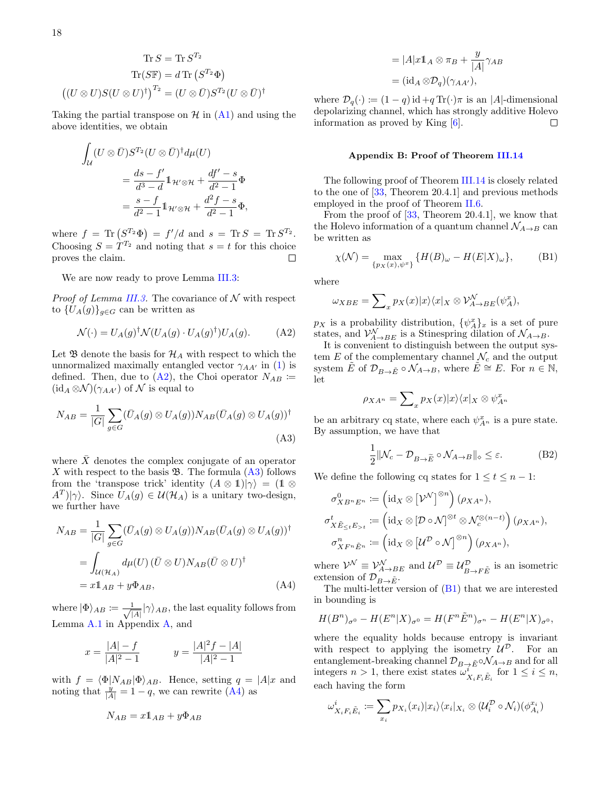$$
\text{Tr}\,S = \text{Tr}\,S^{T_2}
$$

$$
\text{Tr}(S\mathbb{F}) = d\,\text{Tr}\left(S^{T_2}\Phi\right)
$$

$$
\left((U \otimes U)S(U \otimes U)^\dagger\right)^{T_2} = (U \otimes \bar{U})S^{T_2}(U \otimes \bar{U})^\dagger
$$

Taking the partial transpose on  $\mathcal{H}$  in  $(A1)$  and using the above identities, we obtain

$$
\int_{\mathcal{U}} (U \otimes \bar{U}) S^{T_2} (U \otimes \bar{U})^{\dagger} d\mu(U)
$$
\n
$$
= \frac{ds - f'}{d^3 - d} \mathbb{1}_{\mathcal{H}' \otimes \mathcal{H}} + \frac{df' - s}{d^2 - 1} \Phi
$$
\n
$$
= \frac{s - f}{d^2 - 1} \mathbb{1}_{\mathcal{H}' \otimes \mathcal{H}} + \frac{d^2 f - s}{d^2 - 1} \Phi,
$$

where  $f = \text{Tr}(S^{T_2}\Phi) = f'/d$  and  $s = \text{Tr} S = \text{Tr} S^{T_2}$ . Choosing  $S = T^{T_2}$  and noting that  $s = t$  for this choice proves the claim.  $\Box$ 

We are now ready to prove Lemma [III.3:](#page-8-1)

*Proof of Lemma [III.3.](#page-8-1)* The covariance of  $N$  with respect to  ${U_A(g)}_{g \in G}$  can be written as

$$
\mathcal{N}(\cdot) = U_A(g)^\dagger \mathcal{N}(U_A(g) \cdot U_A(g)^\dagger) U_A(g). \tag{A2}
$$

Let  $\mathfrak B$  denote the basis for  $\mathcal H_A$  with respect to which the unnormalized maximally entangled vector  $\gamma_{AA'}$  in [\(1\)](#page-4-3) is defined. Then, due to  $(A2)$ , the Choi operator  $N_{AB}$  :=  $(id_A \otimes \mathcal{N})(\gamma_{AA'})$  of  $\mathcal N$  is equal to

$$
N_{AB} = \frac{1}{|G|} \sum_{g \in G} (\bar{U}_A(g) \otimes U_A(g)) N_{AB} (\bar{U}_A(g) \otimes U_A(g))^\dagger
$$
\n(A3)

where  $\overline{X}$  denotes the complex conjugate of an operator X with respect to the basis  $\mathfrak{B}$ . The formula [\(A3\)](#page-19-2) follows from the 'transpose trick' identity  $(A \otimes 1)|\gamma\rangle = (1 \otimes$  $\langle A^T \rangle | \gamma \rangle$ . Since  $U_A(g) \in \mathcal{U}(\mathcal{H}_A)$  is a unitary two-design, we further have

$$
N_{AB} = \frac{1}{|G|} \sum_{g \in G} (\bar{U}_A(g) \otimes U_A(g)) N_{AB} (\bar{U}_A(g) \otimes U_A(g))^\dagger
$$
  
= 
$$
\int_{\mathcal{U}(\mathcal{H}_A)} d\mu(U) (\bar{U} \otimes U) N_{AB} (\bar{U} \otimes U)^\dagger
$$
  
=  $x \mathbb{1}_{AB} + y \Phi_{AB},$  (A4)

where  $|\Phi\rangle_{AB} \coloneqq \frac{1}{\sqrt{1}}$  $\frac{1}{|A|}|\gamma\rangle_{AB}$ , the last equality follows from Lemma [A.1](#page-18-4) in Appendix [A,](#page-18-0) and

$$
x = \frac{|A| - f}{|A|^2 - 1} \qquad \quad y = \frac{|A|^2 f - |A|}{|A|^2 - 1}
$$

with  $f = \langle \Phi | N_{AB} | \Phi \rangle_{AB}$ . Hence, setting  $q = |A| x$  and noting that  $\frac{y}{|A|} = 1 - q$ , we can rewrite [\(A4\)](#page-19-3) as

$$
N_{AB} = x \mathbb{1}_{AB} + y \Phi_{AB}
$$

$$
= |A|x \mathbb{1}_A \otimes \pi_B + \frac{y}{|A|} \gamma_{AB}
$$
  
=  $(\mathrm{id}_A \otimes \mathcal{D}_q)(\gamma_{AA'})$ ,

where  $\mathcal{D}_q(\cdot) := (1-q) \operatorname{id} + q \operatorname{Tr}(\cdot)\pi$  is an |A|-dimensional depolarizing channel, which has strongly additive Holevo information as proved by King  $[6]$ .  $\Box$ 

#### <span id="page-19-0"></span>Appendix B: Proof of Theorem [III.14](#page-11-0)

The following proof of Theorem [III.14](#page-11-0) is closely related to the one of [\[33,](#page-24-6) Theorem 20.4.1] and previous methods employed in the proof of Theorem [II.6.](#page-7-5)

From the proof of [\[33,](#page-24-6) Theorem 20.4.1], we know that the Holevo information of a quantum channel  $\mathcal{N}_{A\rightarrow B}$  can be written as

<span id="page-19-4"></span>
$$
\chi(\mathcal{N}) = \max_{\{p_X(x), \psi^x\}} \{H(B)_{\omega} - H(E|X)_{\omega}\},\tag{B1}
$$

where

$$
\omega_{XBE} = \sum_{x} p_X(x) |x\rangle\langle x|_X \otimes \mathcal{V}^{\mathcal{N}}_{A \to BE}(\psi^x_A),
$$

<span id="page-19-1"></span> $p_X$  is a probability distribution,  $\{\psi_A^x\}_x$  is a set of pure states, and  $\mathcal{V}_{A\rightarrow BE}^{\mathcal{N}}$  is a Stinespring dilation of  $\mathcal{N}_{A\rightarrow B}$ .

It is convenient to distinguish between the output system E of the complementary channel  $\mathcal{N}_c$  and the output system  $\tilde{E}$  of  $\mathcal{D}_{B\to \tilde{E}} \circ \mathcal{N}_{A\to B}$ , where  $\tilde{E} \cong E$ . For  $n \in \mathbb{N}$ , let

$$
\rho_{XA^n} = \sum_{x} p_X(x)|x\rangle\langle x|_X \otimes \psi_{A^n}^x
$$

<span id="page-19-2"></span>be an arbitrary cq state, where each  $\psi_{A^n}^x$  is a pure state. By assumption, we have that

<span id="page-19-5"></span>
$$
\frac{1}{2} \|\mathcal{N}_c - \mathcal{D}_{B \to \widetilde{E}} \circ \mathcal{N}_{A \to B} \|_{\diamond} \le \varepsilon.
$$
 (B2)

We define the following cq states for  $1 \le t \le n - 1$ :

$$
\sigma_{XB^nE^n}^0 := (\mathrm{id}_X \otimes [\mathcal{V}^{\mathcal{N}}]^{\otimes n}) (\rho_{XA^n}),
$$
  
\n
$$
\sigma_{X\tilde{E}_{\leq t}E_{>t}}^t := (\mathrm{id}_X \otimes [\mathcal{D} \circ \mathcal{N}]^{\otimes t} \otimes \mathcal{N}_c^{\otimes (n-t)}) (\rho_{XA^n}),
$$
  
\n
$$
\sigma_{XF^n\tilde{E}^n}^n := (\mathrm{id}_X \otimes [\mathcal{U}^{\mathcal{D}} \circ \mathcal{N}]^{\otimes n}) (\rho_{XA^n}),
$$

where  $\mathcal{V}^{\mathcal{N}} \equiv \mathcal{V}^{\mathcal{N}}_{A\to BE}$  and  $\mathcal{U}^{\mathcal{D}} \equiv \mathcal{U}^{\mathcal{D}}_{B\to F\tilde{E}}$  is an isometric extension of  $\mathcal{D}_{B\to \tilde{E}}$ .

<span id="page-19-3"></span>The multi-letter version of [\(B1\)](#page-19-4) that we are interested in bounding is

<span id="page-19-6"></span>
$$
H(B^{n})_{\sigma^{0}} - H(E^{n}|X)_{\sigma^{0}} = H(F^{n}\tilde{E}^{n})_{\sigma^{n}} - H(E^{n}|X)_{\sigma^{0}},
$$

where the equality holds because entropy is invariant with respect to applying the isometry  $\mathcal{U}^{\mathcal{D}}$ . For an entanglement-breaking channel  $\mathcal{D}_{B\to \tilde E} \circ \mathcal{N}_{A\to B}$  and for all integers  $n > 1$ , there exist states  $\omega_{X_i F_i \tilde{E}_i}^i$  for  $1 \leq i \leq n$ , each having the form

$$
\omega_{X_i F_i \tilde{E}_i}^i := \sum_{x_i} p_{X_i}(x_i) |x_i\rangle \langle x_i |_{X_i} \otimes (\mathcal{U}_i^{\mathcal{D}} \circ \mathcal{N}_i)(\phi_{A_i}^{x_i})
$$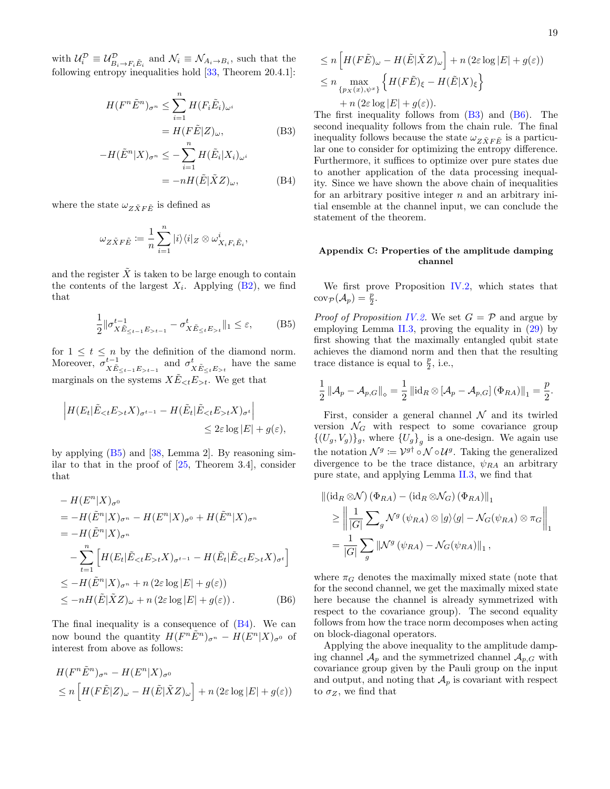with  $\mathcal{U}_i^{\mathcal{D}} \equiv \mathcal{U}_{B_i \to F_i \tilde{E}_i}^{\mathcal{D}}$  and  $\mathcal{N}_i \equiv \mathcal{N}_{A_i \to B_i}$ , such that the following entropy inequalities hold  $[33,$  Theorem 20.4.1]:

$$
H(F^n \tilde{E}^n)_{\sigma^n} \le \sum_{i=1}^n H(F_i \tilde{E}_i)_{\omega^i}
$$
  
= 
$$
H(F \tilde{E}|Z)_{\omega},
$$
 (B3)

$$
-H(\tilde{E}^n|X)_{\sigma^n} \le -\sum_{i=1}^n H(\tilde{E}_i|X_i)_{\omega^i}
$$
  
=  $-nH(\tilde{E}|\tilde{X}Z)_{\omega},$  (B4)

where the state  $\omega_{Z\tilde{X}F\tilde{E}}$  is defined as

$$
\omega_{Z\tilde{X}F\tilde{E}}\coloneqq\frac{1}{n}\sum_{i=1}^n|i\rangle\langle i|_Z\otimes\omega^i_{X_iF_i\tilde{E}_i},
$$

and the register  $\tilde{X}$  is taken to be large enough to contain the contents of the largest  $X_i$ . Applying  $(B2)$ , we find that

$$
\frac{1}{2} \|\sigma_{X\tilde{E}_{\leq t-1}E_{>t-1}}^{t-1} - \sigma_{X\tilde{E}_{\leq t}E_{>t}}^{t} \|_{1} \leq \varepsilon,
$$
 (B5)

for  $1 \leq t \leq n$  by the definition of the diamond norm. Moreover,  $\sigma_{X\tilde{E}_{\leq t-1}E_{>t-1}}^{t-1}$  and  $\sigma_{X\tilde{E}_{\leq t}E_{>t}}^{t}$  have the same marginals on the systems  $X \tilde{E}_{\leq t} E_{\geq t}$ . We get that

$$
\left| H(E_t | \tilde{E}_{< t} E_{> t} X)_{\sigma^{t-1}} - H(\tilde{E}_t | \tilde{E}_{< t} E_{> t} X)_{\sigma^t} \right|
$$
  

$$
\leq 2\varepsilon \log |E| + g(\varepsilon),
$$

by applying  $(B5)$  and  $[38, Lemma 2]$ . By reasoning similar to that in the proof of  $[25,$  Theorem 3.4, consider that

$$
- H(E^n|X)_{\sigma^0}
$$
  
=  $-H(\tilde{E}^n|X)_{\sigma^n} - H(E^n|X)_{\sigma^0} + H(\tilde{E}^n|X)_{\sigma^n}$   
=  $-H(\tilde{E}^n|X)_{\sigma^n}$   

$$
- \sum_{t=1}^n \left[ H(E_t|\tilde{E}_{\leq t}E_{>t}X)_{\sigma^{t-1}} - H(\tilde{E}_t|\tilde{E}_{\leq t}E_{>t}X)_{\sigma^t} \right]
$$
  

$$
\leq -H(\tilde{E}^n|X)_{\sigma^n} + n (2\varepsilon \log |E| + g(\varepsilon))
$$
  

$$
\leq -nH(\tilde{E}|\tilde{X}Z)_{\omega} + n (2\varepsilon \log |E| + g(\varepsilon)).
$$
 (B6)

The final inequality is a consequence of [\(B4\)](#page-20-2). We can now bound the quantity  $H(F^n\tilde{E}^n)_{\sigma^n} - H(E^n|X)_{\sigma^0}$  of interest from above as follows:

$$
H(F^n \tilde{E}^n)_{\sigma^n} - H(E^n | X)_{\sigma^0}
$$
  
\n
$$
\leq n \left[ H(F \tilde{E} | Z)_{\omega} - H(\tilde{E} | \tilde{X} Z)_{\omega} \right] + n \left( 2\varepsilon \log |E| + g(\varepsilon) \right)
$$

$$
\leq n \left[ H(F\tilde{E})_{\omega} - H(\tilde{E}|\tilde{X}Z)_{\omega} \right] + n (2\varepsilon \log |E| + g(\varepsilon))
$$
  

$$
\leq n \max_{\{p_X(x), \psi^x\}} \left\{ H(F\tilde{E})_{\xi} - H(\tilde{E}|X)_{\xi} \right\}
$$
  

$$
+ n (2\varepsilon \log |E| + g(\varepsilon)).
$$

<span id="page-20-2"></span>The first inequality follows from  $(B3)$  and  $(B6)$ . The second inequality follows from the chain rule. The final inequality follows because the state  $\omega_{Z\tilde{X}F\tilde{E}}$  is a particular one to consider for optimizing the entropy difference. Furthermore, it suffices to optimize over pure states due to another application of the data processing inequality. Since we have shown the above chain of inequalities for an arbitrary positive integer  $n$  and an arbitrary initial ensemble at the channel input, we can conclude the statement of the theorem.

#### <span id="page-20-0"></span>Appendix C: Properties of the amplitude damping channel

We first prove Proposition [IV.2,](#page-14-0) which states that  $\operatorname{cov}_{\mathcal{P}}(\mathcal{A}_p) = \frac{p}{2}.$ 

<span id="page-20-1"></span>*Proof of Proposition [IV.2.](#page-14-0)* We set  $G = \mathcal{P}$  and argue by employing Lemma [II.3,](#page-5-1) proving the equality in  $(29)$  by first showing that the maximally entangled qubit state achieves the diamond norm and then that the resulting trace distance is equal to  $\frac{p}{2}$ , i.e.,

$$
\frac{1}{2} \left\| \mathcal{A}_{p} - \mathcal{A}_{p,G} \right\|_{\diamond} = \frac{1}{2} \left\| \operatorname{id}_{R} \otimes \left[ \mathcal{A}_{p} - \mathcal{A}_{p,G} \right] (\Phi_{RA}) \right\|_{1} = \frac{p}{2}.
$$

First, consider a general channel  $\mathcal N$  and its twirled version  $\mathcal{N}_G$  with respect to some covariance group  $\{(U_g, V_g)\}_g$ , where  $\{U_g\}_g$  is a one-design. We again use the notation  $\mathcal{N}^g := \mathcal{V}^{g\dagger} \circ \mathcal{N} \circ \mathcal{U}^g$ . Taking the generalized divergence to be the trace distance,  $\psi_{RA}$  an arbitrary pure state, and applying Lemma [II.3,](#page-5-1) we find that

$$
\begin{aligned} \left\| (\operatorname{id}_R \otimes \mathcal{N}) \left( \Phi_{RA} \right) - (\operatorname{id}_R \otimes \mathcal{N}_G) \left( \Phi_{RA} \right) \right\|_1 \\ &\geq \left\| \frac{1}{|G|} \sum_g \mathcal{N}^g \left( \psi_{RA} \right) \otimes |g\rangle\langle g| - \mathcal{N}_G(\psi_{RA}) \otimes \pi_G \right\|_1 \\ &= \frac{1}{|G|} \sum_g \left\| \mathcal{N}^g \left( \psi_{RA} \right) - \mathcal{N}_G(\psi_{RA}) \right\|_1, \end{aligned}
$$

<span id="page-20-3"></span>where  $\pi_G$  denotes the maximally mixed state (note that for the second channel, we get the maximally mixed state here because the channel is already symmetrized with respect to the covariance group). The second equality follows from how the trace norm decomposes when acting on block-diagonal operators.

Applying the above inequality to the amplitude damping channel  $\mathcal{A}_p$  and the symmetrized channel  $\mathcal{A}_{p,G}$  with covariance group given by the Pauli group on the input and output, and noting that  $\mathcal{A}_p$  is covariant with respect to  $\sigma_Z$ , we find that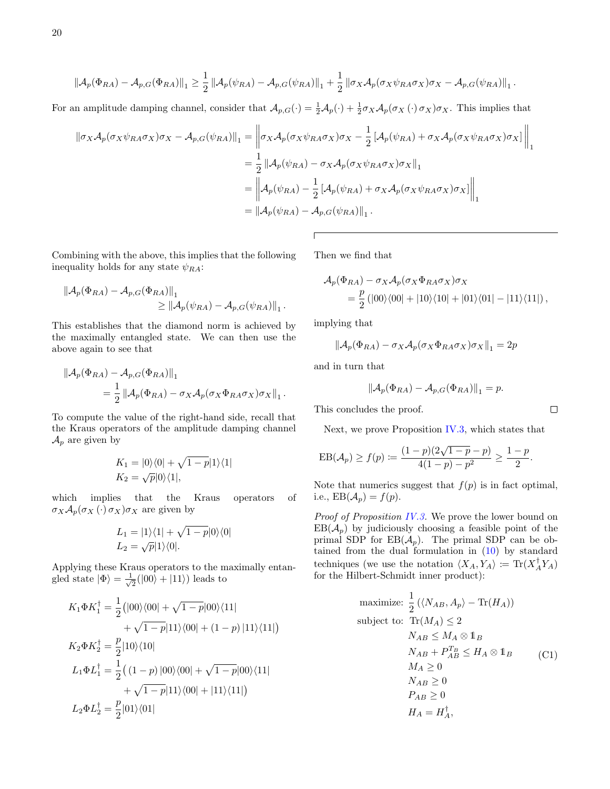$$
\left\|\mathcal{A}_{p}(\Phi_{RA})-\mathcal{A}_{p,G}(\Phi_{RA})\right\|_{1}\geq\frac{1}{2}\left\|\mathcal{A}_{p}(\psi_{RA})-\mathcal{A}_{p,G}(\psi_{RA})\right\|_{1}+\frac{1}{2}\left\|\sigma_{X}\mathcal{A}_{p}(\sigma_{X}\psi_{RA}\sigma_{X})\sigma_{X}-\mathcal{A}_{p,G}(\psi_{RA})\right\|_{1}.
$$

For an amplitude damping channel, consider that  $\mathcal{A}_{p,G}(\cdot) = \frac{1}{2}\mathcal{A}_p(\cdot) + \frac{1}{2}\sigma_X\mathcal{A}_p(\sigma_X(\cdot)\sigma_X)\sigma_X$ . This implies that

$$
\begin{aligned}\n\|\sigma_X \mathcal{A}_p(\sigma_X \psi_{RA} \sigma_X) \sigma_X - \mathcal{A}_{p,G}(\psi_{RA})\|_1 &= \left\|\sigma_X \mathcal{A}_p(\sigma_X \psi_{RA} \sigma_X) \sigma_X - \frac{1}{2} \left[ \mathcal{A}_p(\psi_{RA}) + \sigma_X \mathcal{A}_p(\sigma_X \psi_{RA} \sigma_X) \sigma_X \right] \right\|_1 \\
&= \frac{1}{2} \left\|\mathcal{A}_p(\psi_{RA}) - \sigma_X \mathcal{A}_p(\sigma_X \psi_{RA} \sigma_X) \sigma_X \right\|_1 \\
&= \left\|\mathcal{A}_p(\psi_{RA}) - \frac{1}{2} \left[ \mathcal{A}_p(\psi_{RA}) + \sigma_X \mathcal{A}_p(\sigma_X \psi_{RA} \sigma_X) \sigma_X \right] \right\|_1 \\
&= \left\|\mathcal{A}_p(\psi_{RA}) - \mathcal{A}_{p,G}(\psi_{RA}) \right\|_1.\n\end{aligned}
$$

 $\sqrt{ }$ 

Combining with the above, this implies that the following inequality holds for any state  $\psi_{RA}$ :

$$
\|\mathcal{A}_{p}(\Phi_{RA}) - \mathcal{A}_{p,G}(\Phi_{RA})\|_{1} \ge \|\mathcal{A}_{p}(\psi_{RA}) - \mathcal{A}_{p,G}(\psi_{RA})\|_{1}.
$$

This establishes that the diamond norm is achieved by the maximally entangled state. We can then use the above again to see that

$$
\begin{aligned} \|\mathcal{A}_{p}(\Phi_{RA}) - \mathcal{A}_{p,G}(\Phi_{RA})\|_{1} \\ &= \frac{1}{2} \left\|\mathcal{A}_{p}(\Phi_{RA}) - \sigma_{X}\mathcal{A}_{p}(\sigma_{X}\Phi_{RA}\sigma_{X})\sigma_{X}\right\|_{1} .\end{aligned}
$$

To compute the value of the right-hand side, recall that the Kraus operators of the amplitude damping channel  $\mathcal{A}_p$  are given by

$$
K_1 = |0\rangle\langle 0| + \sqrt{1-p}|1\rangle\langle 1|
$$
  

$$
K_2 = \sqrt{p}|0\rangle\langle 1|,
$$

which implies that the Kraus operators of  $\sigma_X \mathcal{A}_p(\sigma_X(\cdot) \sigma_X) \sigma_X$  are given by

$$
L_1 = |1\rangle\langle 1| + \sqrt{1-p}|0\rangle\langle 0|
$$
  

$$
L_2 = \sqrt{p}|1\rangle\langle 0|.
$$

Applying these Kraus operators to the maximally entangled state  $|\Phi\rangle = \frac{1}{\sqrt{2}}$  $\frac{1}{2}(|00\rangle + |11\rangle)$  leads to

$$
K_1 \Phi K_1^{\dagger} = \frac{1}{2} (|00\rangle\langle 00| + \sqrt{1-p}|00\rangle\langle 11| + \sqrt{1-p}|11\rangle\langle 00| + (1-p)|11\rangle\langle 11|)
$$
  

$$
K_2 \Phi K_2^{\dagger} = \frac{p}{2} |10\rangle\langle 10| L_1 \Phi L_1^{\dagger} = \frac{1}{2} ((1-p) |00\rangle\langle 00| + \sqrt{1-p}|00\rangle\langle 11| + \sqrt{1-p}|11\rangle\langle 00| + |11\rangle\langle 11|)
$$
  

$$
L_2 \Phi L_2^{\dagger} = \frac{p}{2} |01\rangle\langle 01|
$$

Then we find that

$$
\mathcal{A}_p(\Phi_{RA}) - \sigma_X \mathcal{A}_p(\sigma_X \Phi_{RA} \sigma_X) \sigma_X
$$
  
=  $\frac{p}{2} (|00\rangle\langle00| + |10\rangle\langle10| + |01\rangle\langle01| - |11\rangle\langle11|),$ 

implying that

$$
\|\mathcal{A}_p(\Phi_{RA}) - \sigma_X \mathcal{A}_p(\sigma_X \Phi_{RA} \sigma_X) \sigma_X\|_1 = 2p
$$

and in turn that

$$
\|\mathcal{A}_p(\Phi_{RA}) - \mathcal{A}_{p,G}(\Phi_{RA})\|_1 = p.
$$

This concludes the proof.

Next, we prove Proposition [IV.3,](#page-14-7) which states that

$$
EB(\mathcal{A}_p) \ge f(p) := \frac{(1-p)(2\sqrt{1-p}-p)}{4(1-p)-p^2} \ge \frac{1-p}{2}.
$$

Note that numerics suggest that  $f(p)$  is in fact optimal, i.e.,  $EB(\mathcal{A}_p) = f(p)$ .

Proof of Proposition [IV.3.](#page-14-7) We prove the lower bound on  $EB(\mathcal{A}_n)$  by judiciously choosing a feasible point of the primal SDP for  $EB(\mathcal{A}_p)$ . The primal SDP can be obtained from the dual formulation in [\(10\)](#page-9-4) by standard techniques (we use the notation  $\langle X_A, Y_A \rangle := \text{Tr}(X_A^{\dagger} Y_A)$ for the Hilbert-Schmidt inner product):

<span id="page-21-0"></span>maximize: 
$$
\frac{1}{2} (\langle N_{AB}, A_p \rangle - \text{Tr}(H_A))
$$
  
\nsubject to:  $\text{Tr}(M_A) \leq 2$   
\n $N_{AB} \leq M_A \otimes \mathbb{1}_B$   
\n $N_{AB} + P_{AB}^{T_B} \leq H_A \otimes \mathbb{1}_B$  (C1)  
\n $M_A \geq 0$   
\n $N_{AB} \geq 0$   
\n $P_{AB} \geq 0$   
\n $H_A = H_A^{\dagger}$ ,

 $\Box$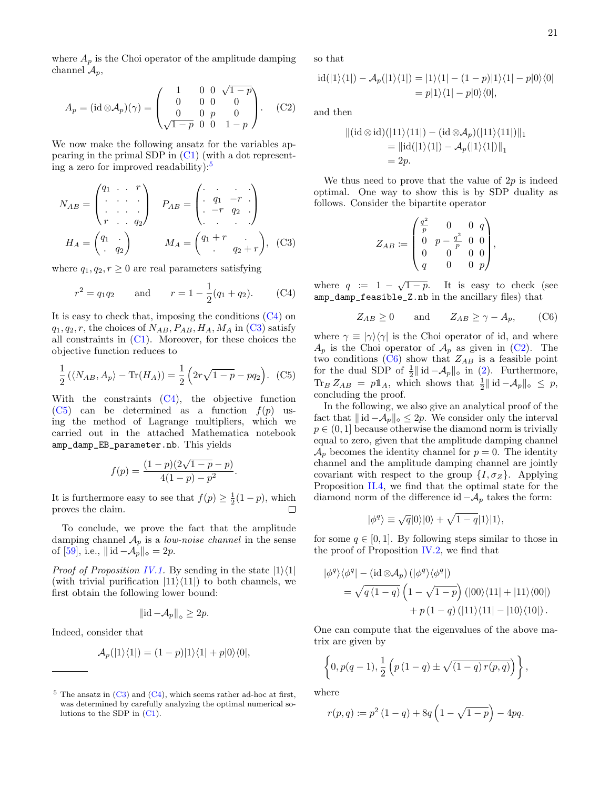where  $A_p$  is the Choi operator of the amplitude damping channel  $\mathcal{A}_p$ ,

$$
A_p = (\mathrm{id} \otimes A_p)(\gamma) = \begin{pmatrix} 1 & 0 & 0 & \sqrt{1-p} \\ 0 & 0 & 0 & 0 \\ 0 & 0 & p & 0 \\ \sqrt{1-p} & 0 & 0 & 1-p \end{pmatrix} . \quad \text{(C2)}
$$

We now make the following ansatz for the variables appearing in the primal SDP in [\(C1\)](#page-21-0) (with a dot representing a zero for improved readability): $5$ 

$$
N_{AB} = \begin{pmatrix} q_1 & \cdots & r \\ \vdots & \ddots & \vdots \\ r & \cdots & q_2 \end{pmatrix} \quad P_{AB} = \begin{pmatrix} \vdots & \vdots & \vdots \\ q_1 & -r & \vdots \\ -r & q_2 & \vdots \\ \vdots & \ddots & \vdots \end{pmatrix}
$$

$$
H_A = \begin{pmatrix} q_1 & \vdots \\ q_2 & \vdots \\ q_3 & \cdots & q_2 \end{pmatrix} \quad M_A = \begin{pmatrix} q_1 + r & \vdots \\ q_2 + r \end{pmatrix}, \quad (C3)
$$

where  $q_1, q_2, r \geq 0$  are real parameters satisfying

$$
r^2 = q_1 q_2
$$
 and  $r = 1 - \frac{1}{2}(q_1 + q_2)$ . (C4)

It is easy to check that, imposing the conditions [\(C4\)](#page-22-1) on  $q_1, q_2, r$ , the choices of  $N_{AB}$ ,  $P_{AB}$ ,  $H_A$ ,  $M_A$  in [\(C3\)](#page-22-2) satisfy all constraints in [\(C1\)](#page-21-0). Moreover, for these choices the objective function reduces to

$$
\frac{1}{2} (\langle N_{AB}, A_p \rangle - \text{Tr}(H_A)) = \frac{1}{2} (2r\sqrt{1-p} - pq_2).
$$
 (C5)

With the constraints [\(C4\)](#page-22-1), the objective function  $(C5)$  can be determined as a function  $f(p)$  using the method of Lagrange multipliers, which we carried out in the attached Mathematica notebook amp\_damp\_EB\_parameter.nb. This yields

$$
f(p) = \frac{(1-p)(2\sqrt{1-p}-p)}{4(1-p)-p^2}
$$

.

It is furthermore easy to see that  $f(p) \geq \frac{1}{2}(1-p)$ , which proves the claim.  $\Box$ 

To conclude, we prove the fact that the amplitude damping channel  $A_p$  is a *low-noise channel* in the sense of [\[59\]](#page-24-30), i.e.,  $|| \mathrm{id} - A_p ||_{\diamond} = 2p$ .

*Proof of Proposition [IV.1.](#page-14-2)* By sending in the state  $|1\rangle\langle1|$ (with trivial purification  $|11\rangle\langle11|$ ) to both channels, we first obtain the following lower bound:

$$
\left\|\mathrm{id} - \mathcal{A}_p\right\|_{\diamond} \geq 2p.
$$

Indeed, consider that

$$
\mathcal{A}_p(|1\rangle\langle 1|) = (1-p)|1\rangle\langle 1| + p|0\rangle\langle 0|,
$$

so that

$$
id(|1\rangle\langle 1|) - A_p(|1\rangle\langle 1|) = |1\rangle\langle 1| - (1-p)|1\rangle\langle 1| - p|0\rangle\langle 0|
$$
  
=  $p|1\rangle\langle 1| - p|0\rangle\langle 0|$ ,

<span id="page-22-4"></span>and then

$$
||(\mathrm{id} \otimes \mathrm{id})(|11\rangle\langle 11|) - (\mathrm{id} \otimes A_p)(|11\rangle\langle 11|)||_1
$$
  
= 
$$
||\mathrm{id}(|1\rangle\langle 1|) - A_p(|1\rangle\langle 1|)||_1
$$
  
= 2p.

We thus need to prove that the value of  $2p$  is indeed optimal. One way to show this is by SDP duality as follows. Consider the bipartite operator

$$
Z_{AB} := \begin{pmatrix} \frac{q^2}{p} & 0 & 0 & q \\ 0 & p - \frac{q^2}{p} & 0 & 0 \\ 0 & 0 & 0 & 0 \\ q & 0 & 0 & p \end{pmatrix},
$$

<span id="page-22-2"></span><span id="page-22-1"></span>where  $q := 1 - \sqrt{1-p}$ . It is easy to check (see amp\_damp\_feasible\_Z.nb in the ancillary files) that

<span id="page-22-5"></span>
$$
Z_{AB} \ge 0 \quad \text{and} \quad Z_{AB} \ge \gamma - A_p, \quad (C6)
$$

<span id="page-22-3"></span>where  $\gamma \equiv |\gamma\rangle\langle\gamma|$  is the Choi operator of id, and where  $A_p$  is the Choi operator of  $A_p$  as given in [\(C2\)](#page-22-4). The two conditions [\(C6\)](#page-22-5) show that  $Z_{AB}$  is a feasible point for the dual SDP of  $\frac{1}{2}$ || id  $-\mathcal{A}_p$ ||<sub>∞</sub> in [\(2\)](#page-4-1). Furthermore,  $\text{Tr}_B Z_{AB} = p \mathbb{1}_A$ , which shows that  $\frac{1}{2} || \text{ id } -A_p ||_{\diamond} \leq p$ , concluding the proof.

In the following, we also give an analytical proof of the fact that  $||id - A_p||_{\diamond} \leq 2p$ . We consider only the interval  $p \in (0, 1]$  because otherwise the diamond norm is trivially equal to zero, given that the amplitude damping channel  $\mathcal{A}_p$  becomes the identity channel for  $p=0$ . The identity channel and the amplitude damping channel are jointly covariant with respect to the group  $\{I, \sigma_Z\}$ . Applying Proposition [II.4,](#page-6-2) we find that the optimal state for the diamond norm of the difference id  $-\mathcal{A}_p$  takes the form:

$$
|\phi^q\rangle \equiv \sqrt{q}|0\rangle|0\rangle + \sqrt{1-q}|1\rangle|1\rangle,
$$

for some  $q \in [0, 1]$ . By following steps similar to those in the proof of Proposition [IV.2,](#page-14-0) we find that

$$
\begin{split} |\phi^q\rangle\langle\phi^q|&-\left(\mathrm{id}\otimes\mathcal{A}_p\right)(|\phi^q\rangle\langle\phi^q|)\\ &=\sqrt{q\left(1-q\right)}\left(1-\sqrt{1-p}\right)\left(|00\rangle\langle 11|+|11\rangle\langle 00|\right)\\ &+p\left(1-q\right)(|11\rangle\langle 11|-|10\rangle\langle 10|\right). \end{split}
$$

One can compute that the eigenvalues of the above matrix are given by

$$
\left\{0, p(q-1), \frac{1}{2}\left(p(1-q) \pm \sqrt{(1-q) r(p,q)}\right)\right\},\
$$

where

$$
r(p,q) := p^{2} (1 - q) + 8q \left(1 - \sqrt{1 - p}\right) - 4pq.
$$

<span id="page-22-0"></span> $5$  The ansatz in [\(C3\)](#page-22-2) and [\(C4\)](#page-22-1), which seems rather ad-hoc at first, was determined by carefully analyzing the optimal numerical solutions to the SDP in [\(C1\)](#page-21-0).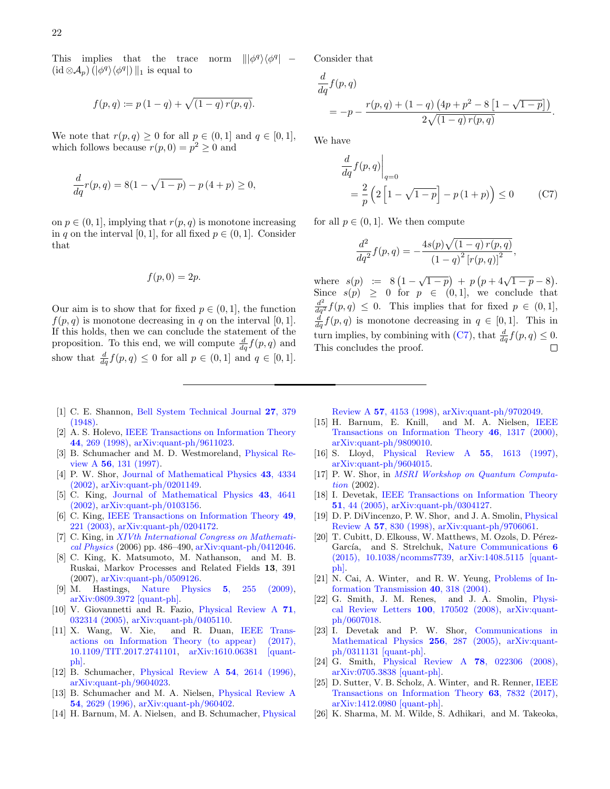This implies that the trace norm  $\langle \phi^q |$  –  $(\mathrm{id} \otimes \mathcal{A}_{p}) (\ket{\phi^{q}}\bra{\phi^{q}})\parallel_1$  is equal to

$$
f(p,q) \coloneqq p(1-q) + \sqrt{(1-q) r(p,q)}.
$$

We note that  $r(p,q) \geq 0$  for all  $p \in (0,1]$  and  $q \in [0,1]$ , which follows because  $r(p, 0) = p^2 \geq 0$  and

$$
\frac{d}{dq}r(p,q) = 8(1 - \sqrt{1-p}) - p(4+p) \ge 0,
$$

on  $p \in (0, 1]$ , implying that  $r(p, q)$  is monotone increasing in q on the interval [0, 1], for all fixed  $p \in (0, 1]$ . Consider that

$$
f(p,0)=2p.
$$

Our aim is to show that for fixed  $p \in (0, 1]$ , the function  $f(p,q)$  is monotone decreasing in q on the interval [0, 1]. If this holds, then we can conclude the statement of the proposition. To this end, we will compute  $\frac{d}{dq} f(p, q)$  and show that  $\frac{d}{dq}f(p,q) \leq 0$  for all  $p \in (0,1]$  and  $q \in [0,1]$ . Consider that

$$
\frac{d}{dq}f(p,q) = -p - \frac{r(p,q) + (1-q)(4p+p^2-8[1-\sqrt{1-p}])}{2\sqrt{(1-q)r(p,q)}}.
$$

We have

$$
\frac{d}{dq} f(p,q) \Big|_{q=0}
$$
\n
$$
= \frac{2}{p} \left( 2 \left[ 1 - \sqrt{1-p} \right] - p \left( 1+p \right) \right) \le 0 \tag{C7}
$$

for all  $p \in (0,1]$ . We then compute

<span id="page-23-21"></span>
$$
\frac{d^2}{dq^2} f(p,q) = -\frac{4s(p)\sqrt{(1-q)r(p,q)}}{(1-q)^2 [r(p,q)]^2},
$$

where  $s(p) := 8(1 - \sqrt{1-p}) + p(p+4\sqrt{1-p} - 8).$ Since  $s(p) \geq 0$  for  $p \in (0,1]$ , we conclude that  $\frac{d^2}{dq^2} f(p,q) \leq 0$ . This implies that for fixed  $p \in (0,1],$  $\frac{d}{dq} f(p,q)$  is monotone decreasing in  $q \in [0,1]$ . This in turn implies, by combining with [\(C7\)](#page-23-21), that  $\frac{d}{dq} f(p, q) \leq 0$ . This concludes the proof. П

- <span id="page-23-0"></span>[1] C. E. Shannon, [Bell System Technical Journal](http://dx.doi.org/10.1002/j.1538-7305.1948.tb01338.x) 27, 379 [\(1948\).](http://dx.doi.org/10.1002/j.1538-7305.1948.tb01338.x)
- <span id="page-23-1"></span>[2] A. S. Holevo, [IEEE Transactions on Information Theory](http://dx.doi.org/10.1109/18.651037) 44[, 269 \(1998\),](http://dx.doi.org/10.1109/18.651037) [arXiv:quant-ph/9611023.](http://arxiv.org/abs/quant-ph/9611023)
- <span id="page-23-2"></span>[3] B. Schumacher and M. D. Westmoreland, [Physical Re](http://dx.doi.org/10.1103/PhysRevA.56.131)view A 56[, 131 \(1997\).](http://dx.doi.org/10.1103/PhysRevA.56.131)
- <span id="page-23-3"></span>[4] P. W. Shor, [Journal of Mathematical Physics](http://dx.doi.org/10.1063/1.1498000) 43, 4334 [\(2002\),](http://dx.doi.org/10.1063/1.1498000) [arXiv:quant-ph/0201149.](http://arxiv.org/abs/quant-ph/0201149)
- <span id="page-23-4"></span>[5] C. King, [Journal of Mathematical Physics](http://dx.doi.org/10.1063/1.1500791) 43, 4641 [\(2002\),](http://dx.doi.org/10.1063/1.1500791) [arXiv:quant-ph/0103156.](http://arxiv.org/abs/quant-ph/0103156)
- <span id="page-23-5"></span>[6] C. King, [IEEE Transactions on Information Theory](http://dx.doi.org/10.1109/TIT.2002.806153) 49, [221 \(2003\),](http://dx.doi.org/10.1109/TIT.2002.806153) [arXiv:quant-ph/0204172.](http://arxiv.org/abs/quant-ph/0204172)
- <span id="page-23-6"></span>[7] C. King, in *[XIVth International Congress on Mathemati](http://dx.doi.org/10.1142/9789812704016_0047)*[cal Physics](http://dx.doi.org/10.1142/9789812704016_0047) (2006) pp. 486–490,  $arXiv:quant-ph/0412046$ .
- <span id="page-23-7"></span>[8] C. King, K. Matsumoto, M. Nathanson, and M. B. Ruskai, Markov Processes and Related Fields 13, 391 (2007), [arXiv:quant-ph/0509126.](http://arxiv.org/abs/quant-ph/0509126)
- <span id="page-23-8"></span>[9] M. Hastings, [Nature Physics](http://dx.doi.org/10.1038/nphys1224) 5, 255 (2009), [arXiv:0809.3972 \[quant-ph\].](http://arxiv.org/abs/0809.3972)
- <span id="page-23-9"></span>[10] V. Giovannetti and R. Fazio, [Physical Review A](http://dx.doi.org/10.1103/PhysRevA.71.032314) 71, [032314 \(2005\),](http://dx.doi.org/10.1103/PhysRevA.71.032314) [arXiv:quant-ph/0405110.](http://arxiv.org/abs/quant-ph/0405110)
- <span id="page-23-10"></span>[11] X. Wang, W. Xie, and R. Duan, [IEEE Trans](http://dx.doi.org/ 10.1109/TIT.2017.2741101)[actions on Information Theory \(to appear\) \(2017\),](http://dx.doi.org/ 10.1109/TIT.2017.2741101) [10.1109/TIT.2017.2741101,](http://dx.doi.org/ 10.1109/TIT.2017.2741101) [arXiv:1610.06381 \[quant](http://arxiv.org/abs/1610.06381)[ph\].](http://arxiv.org/abs/1610.06381)
- <span id="page-23-11"></span>[12] B. Schumacher, [Physical Review A](http://dx.doi.org/10.1103/PhysRevA.54.2614) 54, 2614 (1996), [arXiv:quant-ph/9604023.](http://arxiv.org/abs/quant-ph/9604023)
- [13] B. Schumacher and M. A. Nielsen, [Physical Review A](http://dx.doi.org/10.1103/PhysRevA.54.2629) 54[, 2629 \(1996\),](http://dx.doi.org/10.1103/PhysRevA.54.2629) [arXiv:quant-ph/960402.](http://arxiv.org/abs/quant-ph/960402)
- [14] H. Barnum, M. A. Nielsen, and B. Schumacher, [Physical](http://dx.doi.org/10.1103/PhysRevA.57.4153)

Review A 57[, 4153 \(1998\),](http://dx.doi.org/10.1103/PhysRevA.57.4153) [arXiv:quant-ph/9702049.](http://arxiv.org/abs/quant-ph/9702049)

- [15] H. Barnum, E. Knill, and M. A. Nielsen, [IEEE](http://dx.doi.org/10.1109/18.850671) [Transactions on Information Theory](http://dx.doi.org/10.1109/18.850671) 46, 1317 (2000), [arXiv:quant-ph/9809010.](http://arxiv.org/abs/quant-ph/9809010)
- [16] S. Lloyd, [Physical Review A](http://dx.doi.org/10.1103/PhysRevA.55.1613) 55, 1613 (1997),  $\arXiv:quant\text{-}ph/9604015.$
- [17] P. W. Shor, in [MSRI Workshop on Quantum Computa](http://www.msri.org/realvideo/ln/msri/2002/quantumcrypto/shor/1/)[tion](http://www.msri.org/realvideo/ln/msri/2002/quantumcrypto/shor/1/) (2002).
- <span id="page-23-12"></span>[18] I. Devetak, [IEEE Transactions on Information Theory](http://dx.doi.org/10.1109/TIT.2004.839515) 51[, 44 \(2005\),](http://dx.doi.org/10.1109/TIT.2004.839515) [arXiv:quant-ph/0304127.](http://arxiv.org/abs/quant-ph/0304127)
- <span id="page-23-13"></span>[19] D. P. DiVincenzo, P. W. Shor, and J. A. Smolin, [Physical](http://dx.doi.org/10.1103/PhysRevA.57.830) Review A 57[, 830 \(1998\),](http://dx.doi.org/10.1103/PhysRevA.57.830) [arXiv:quant-ph/9706061.](http://arxiv.org/abs/quant-ph/9706061)
- <span id="page-23-14"></span>[20] T. Cubitt, D. Elkouss, W. Matthews, M. Ozols, D. Pérez-García, and S. Strelchuk, [Nature Communications](http://dx.doi.org/ 10.1038/ncomms7739) 6 [\(2015\), 10.1038/ncomms7739,](http://dx.doi.org/ 10.1038/ncomms7739) [arXiv:1408.5115 \[quant](http://arxiv.org/abs/1408.5115)[ph\].](http://arxiv.org/abs/1408.5115)
- <span id="page-23-15"></span>[21] N. Cai, A. Winter, and R. W. Yeung, [Problems of In](http://dx.doi.org/10.1007/s11122-005-0002-x)[formation Transmission](http://dx.doi.org/10.1007/s11122-005-0002-x) 40, 318 (2004).
- <span id="page-23-16"></span>[22] G. Smith, J. M. Renes, and J. A. Smolin, [Physi](http://dx.doi.org/10.1103/PhysRevLett.100.170502)[cal Review Letters](http://dx.doi.org/10.1103/PhysRevLett.100.170502) 100, 170502 (2008), [arXiv:quant](http://arxiv.org/abs/quant-ph/0607018)[ph/0607018.](http://arxiv.org/abs/quant-ph/0607018)
- <span id="page-23-17"></span>[23] I. Devetak and P. W. Shor, [Communications in](http://dx.doi.org/10.1007/s00220-005-1317-6) [Mathematical Physics](http://dx.doi.org/10.1007/s00220-005-1317-6) 256, 287 (2005), [arXiv:quant](http://arxiv.org/abs/quant-ph/0311131)[ph/0311131 \[quant-ph\].](http://arxiv.org/abs/quant-ph/0311131)
- <span id="page-23-18"></span>[24] G. Smith, [Physical Review A](http://dx.doi.org/10.1103/PhysRevA.78.022306) 78, 022306 (2008), [arXiv:0705.3838 \[quant-ph\].](http://arxiv.org/abs/0705.3838)
- <span id="page-23-19"></span>[25] D. Sutter, V. B. Scholz, A. Winter, and R. Renner, [IEEE](http://dx.doi.org/ 10.1109/TIT.2017.2754268) [Transactions on Information Theory](http://dx.doi.org/ 10.1109/TIT.2017.2754268) 63, 7832 (2017), [arXiv:1412.0980 \[quant-ph\].](http://arxiv.org/abs/1412.0980)
- <span id="page-23-20"></span>[26] K. Sharma, M. M. Wilde, S. Adhikari, and M. Takeoka,